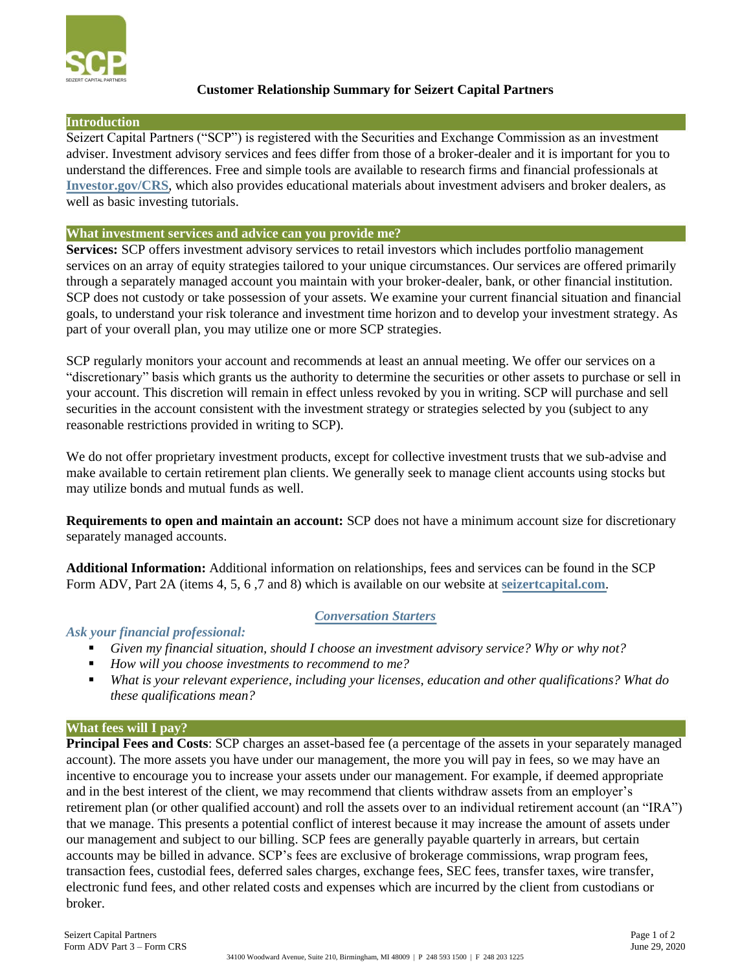

#### **Customer Relationship Summary for Seizert Capital Partners**

#### **Introduction**

Seizert Capital Partners ("SCP") is registered with the Securities and Exchange Commission as an investment adviser. Investment advisory services and fees differ from those of a broker-dealer and it is important for you to understand the differences. Free and simple tools are available to research firms and financial professionals at **[Investor.gov/CRS](http://www.investor.gov/CRS)**, which also provides educational materials about investment advisers and broker dealers, as well as basic investing tutorials.

#### **What investment services and advice can you provide me?**

**Services:** SCP offers investment advisory services to retail investors which includes portfolio management services on an array of equity strategies tailored to your unique circumstances. Our services are offered primarily through a separately managed account you maintain with your broker-dealer, bank, or other financial institution. SCP does not custody or take possession of your assets. We examine your current financial situation and financial goals, to understand your risk tolerance and investment time horizon and to develop your investment strategy. As part of your overall plan, you may utilize one or more SCP strategies.

SCP regularly monitors your account and recommends at least an annual meeting. We offer our services on a "discretionary" basis which grants us the authority to determine the securities or other assets to purchase or sell in your account. This discretion will remain in effect unless revoked by you in writing. SCP will purchase and sell securities in the account consistent with the investment strategy or strategies selected by you (subject to any reasonable restrictions provided in writing to SCP).

We do not offer proprietary investment products, except for collective investment trusts that we sub-advise and make available to certain retirement plan clients. We generally seek to manage client accounts using stocks but may utilize bonds and mutual funds as well.

**Requirements to open and maintain an account:** SCP does not have a minimum account size for discretionary separately managed accounts.

**Additional Information:** Additional information on relationships, fees and services can be found in the SCP Form ADV, Part 2A (items 4, 5, 6 ,7 and 8) which is available on our website at **[seizertcapital.com](http://www.seizertcapital.com/)**.

#### *Conversation Starters*

#### *Ask your financial professional:*

- *Given my financial situation, should I choose an investment advisory service? Why or why not?*
- *How will you choose investments to recommend to me?*
- *What is your relevant experience, including your licenses, education and other qualifications? What do these qualifications mean?*

#### **What fees will I pay?**

**Principal Fees and Costs**: SCP charges an asset-based fee (a percentage of the assets in your separately managed account). The more assets you have under our management, the more you will pay in fees, so we may have an incentive to encourage you to increase your assets under our management. For example, if deemed appropriate and in the best interest of the client, we may recommend that clients withdraw assets from an employer's retirement plan (or other qualified account) and roll the assets over to an individual retirement account (an "IRA") that we manage. This presents a potential conflict of interest because it may increase the amount of assets under our management and subject to our billing. SCP fees are generally payable quarterly in arrears, but certain accounts may be billed in advance. SCP's fees are exclusive of brokerage commissions, wrap program fees, transaction fees, custodial fees, deferred sales charges, exchange fees, SEC fees, transfer taxes, wire transfer, electronic fund fees, and other related costs and expenses which are incurred by the client from custodians or broker.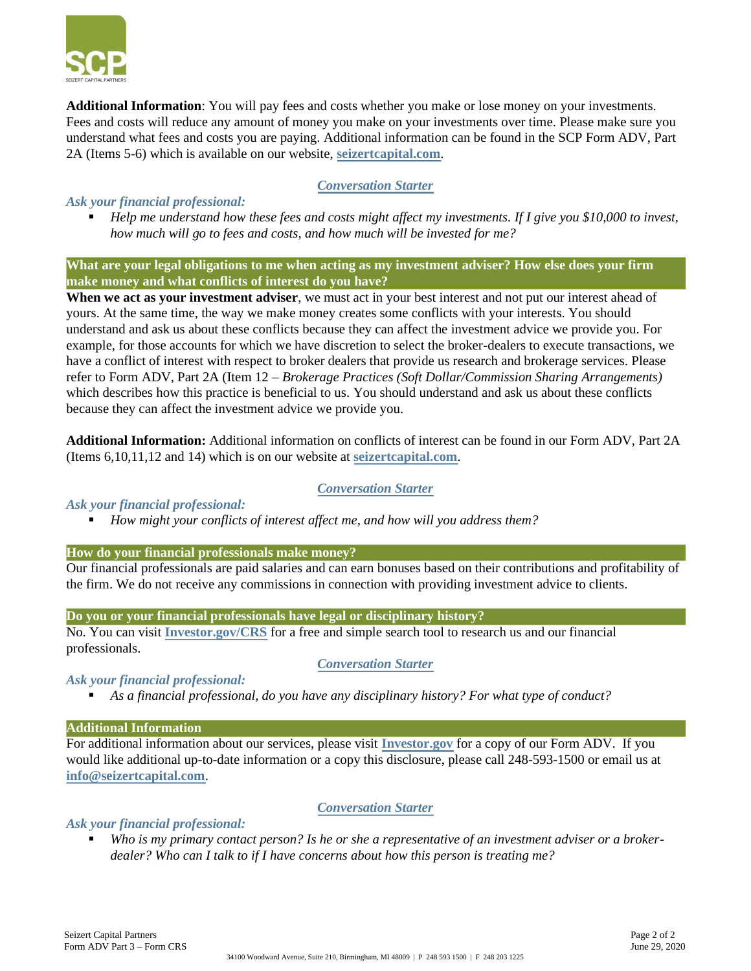

**Additional Information**: You will pay fees and costs whether you make or lose money on your investments. Fees and costs will reduce any amount of money you make on your investments over time. Please make sure you understand what fees and costs you are paying. Additional information can be found in the SCP Form ADV, Part 2A (Items 5-6) which is available on our website, **[seizertcapital.com](http://www.seizertcapital.com/)**.

*Conversation Starter*

#### *Ask your financial professional:*

▪ *Help me understand how these fees and costs might affect my investments. If I give you \$10,000 to invest, how much will go to fees and costs, and how much will be invested for me?*

**What are your legal obligations to me when acting as my investment adviser? How else does your firm make money and what conflicts of interest do you have?**

**When we act as your investment adviser**, we must act in your best interest and not put our interest ahead of yours. At the same time, the way we make money creates some conflicts with your interests. You should understand and ask us about these conflicts because they can affect the investment advice we provide you. For example, for those accounts for which we have discretion to select the broker-dealers to execute transactions, we have a conflict of interest with respect to broker dealers that provide us research and brokerage services. Please refer to Form ADV, Part 2A (Item 12 – *Brokerage Practices (Soft Dollar/Commission Sharing Arrangements)* which describes how this practice is beneficial to us. You should understand and ask us about these conflicts because they can affect the investment advice we provide you.

**Additional Information:** Additional information on conflicts of interest can be found in our Form ADV, Part 2A (Items 6,10,11,12 and 14) which is on our website at **[seizertcapital.com](http://www.seizertcapital.com/)**.

#### *Conversation Starter*

#### *Ask your financial professional:*

▪ *How might your conflicts of interest affect me, and how will you address them?*

#### **How do your financial professionals make money?**

Our financial professionals are paid salaries and can earn bonuses based on their contributions and profitability of the firm. We do not receive any commissions in connection with providing investment advice to clients.

#### **Do you or your financial professionals have legal or disciplinary history?**

No. You can visit **[Investor.gov/CRS](http://www.investor.gov/CRS)** for a free and simple search tool to research us and our financial professionals.

#### *Conversation Starter*

#### *Ask your financial professional:*

▪ *As a financial professional, do you have any disciplinary history? For what type of conduct?*

#### **Additional Information**

For additional information about our services, please visit **[Investor.gov](http://www.investor.gov/)** for a copy of our Form ADV. If you would like additional up-to-date information or a copy this disclosure, please call 248-593-1500 or email us at **[info@seizertcapital.com](mailto:info@seizertcapital.com)**.

#### *Conversation Starter*

#### *Ask your financial professional:*

Who is my primary contact person? Is he or she a representative of an investment adviser or a broker*dealer? Who can I talk to if I have concerns about how this person is treating me?*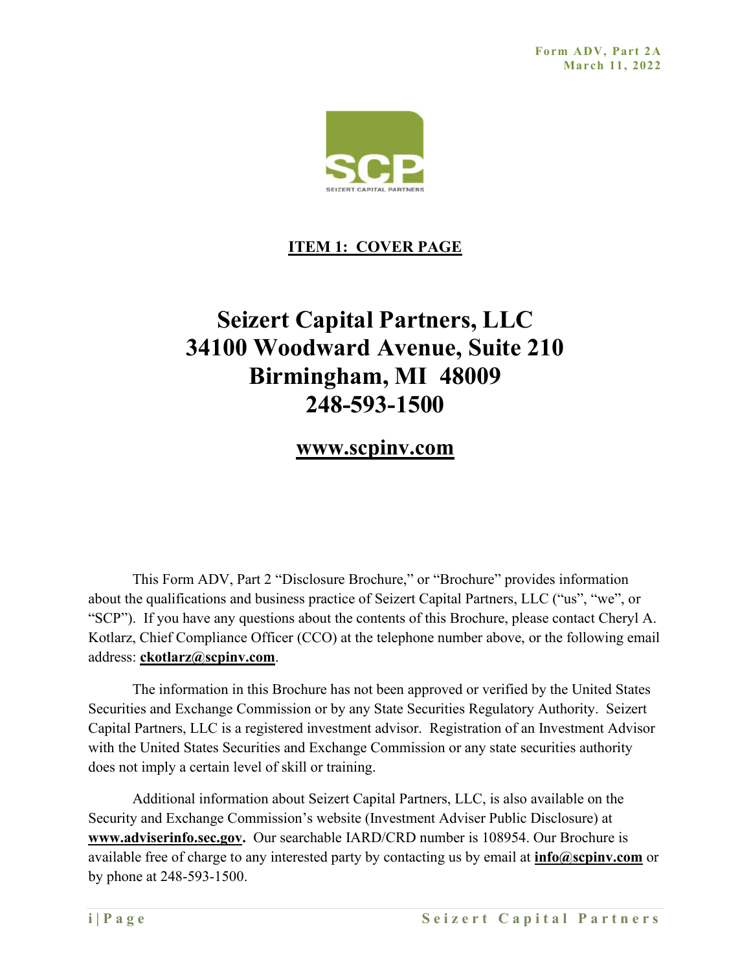

## **ITEM 1: COVER PAGE**

# **Seizert Capital Partners, LLC 34100 Woodward Avenue, Suite 210 Birmingham, MI 48009 248-593-1500**

## **www.scpinv.com**

This Form ADV, Part 2 "Disclosure Brochure," or "Brochure" provides information about the qualifications and business practice of Seizert Capital Partners, LLC ("us", "we", or "SCP"). If you have any questions about the contents of this Brochure, please contact Cheryl A. Kotlarz, Chief Compliance Officer (CCO) at the telephone number above, or the following email address: **ckotlarz@scpinv.com**.

The information in this Brochure has not been approved or verified by the United States Securities and Exchange Commission or by any State Securities Regulatory Authority. Seizert Capital Partners, LLC is a registered investment advisor. Registration of an Investment Advisor with the United States Securities and Exchange Commission or any state securities authority does not imply a certain level of skill or training.

Additional information about Seizert Capital Partners, LLC, is also available on the Security and Exchange Commission's website (Investment Adviser Public Disclosure) at **www.adviserinfo.sec.gov.** Our searchable IARD/CRD number is 108954. Our Brochure is available free of charge to any interested party by contacting us by email at **info@scpinv.com** or by phone at 248-593-1500.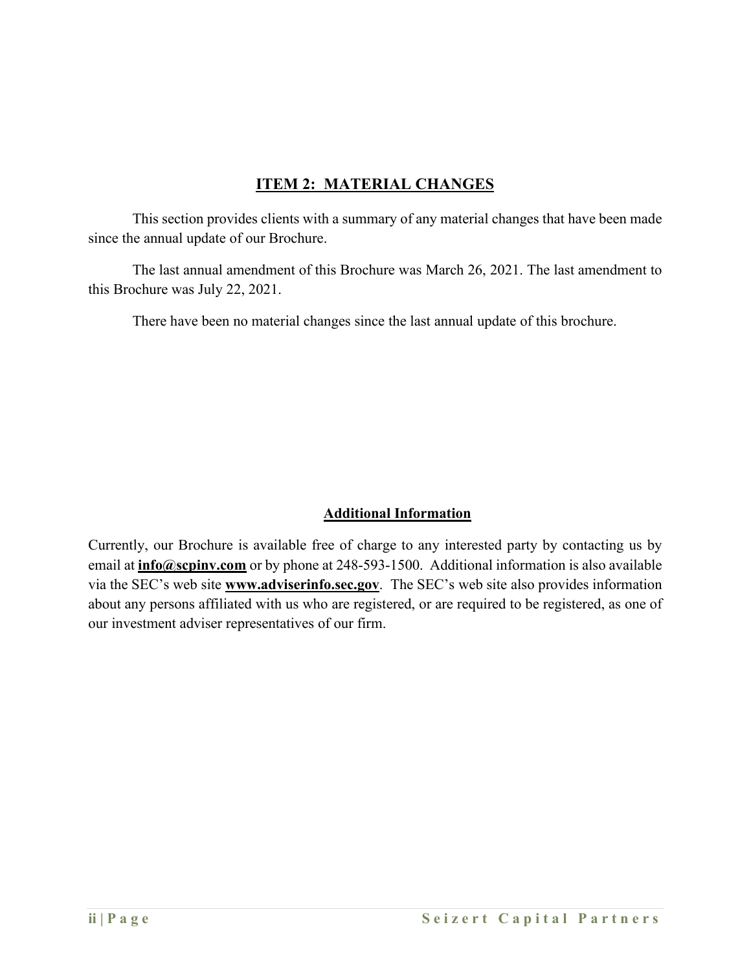## **ITEM 2: MATERIAL CHANGES**

This section provides clients with a summary of any material changes that have been made since the annual update of our Brochure.

The last annual amendment of this Brochure was March 26, 2021. The last amendment to this Brochure was July 22, 2021.

There have been no material changes since the last annual update of this brochure.

## **Additional Information**

Currently, our Brochure is available free of charge to any interested party by contacting us by email at **info@scpinv.com** or by phone at 248-593-1500. Additional information is also available via the SEC's web site **www.adviserinfo.sec.gov**. The SEC's web site also provides information about any persons affiliated with us who are registered, or are required to be registered, as one of our investment adviser representatives of our firm.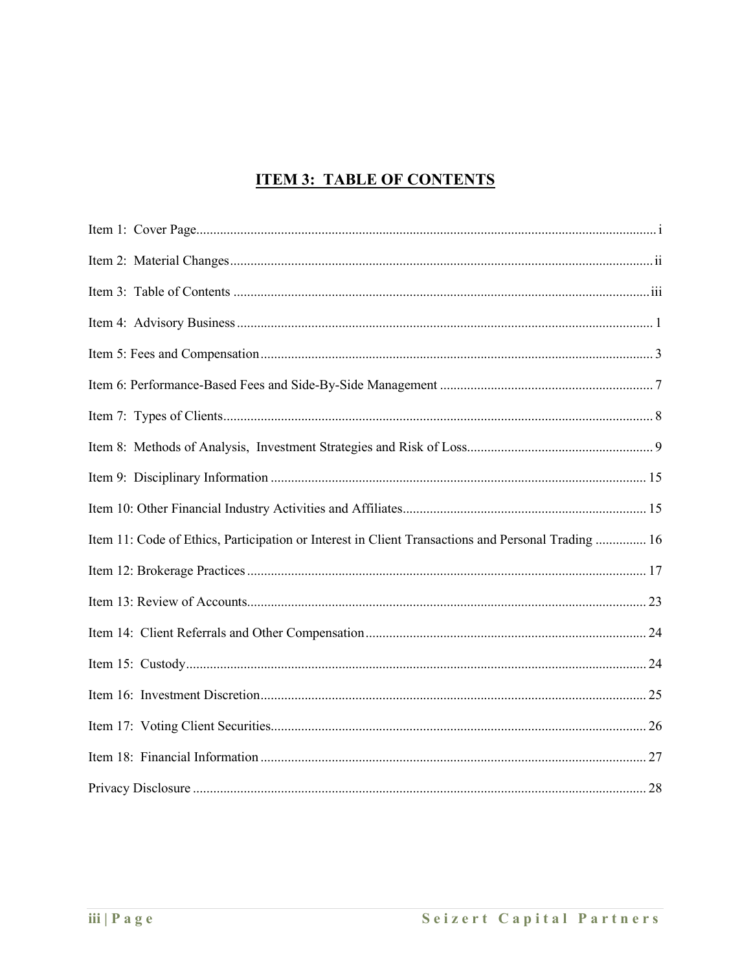## **ITEM 3: TABLE OF CONTENTS**

| Item 11: Code of Ethics, Participation or Interest in Client Transactions and Personal Trading  16 |
|----------------------------------------------------------------------------------------------------|
|                                                                                                    |
|                                                                                                    |
|                                                                                                    |
|                                                                                                    |
|                                                                                                    |
|                                                                                                    |
|                                                                                                    |
|                                                                                                    |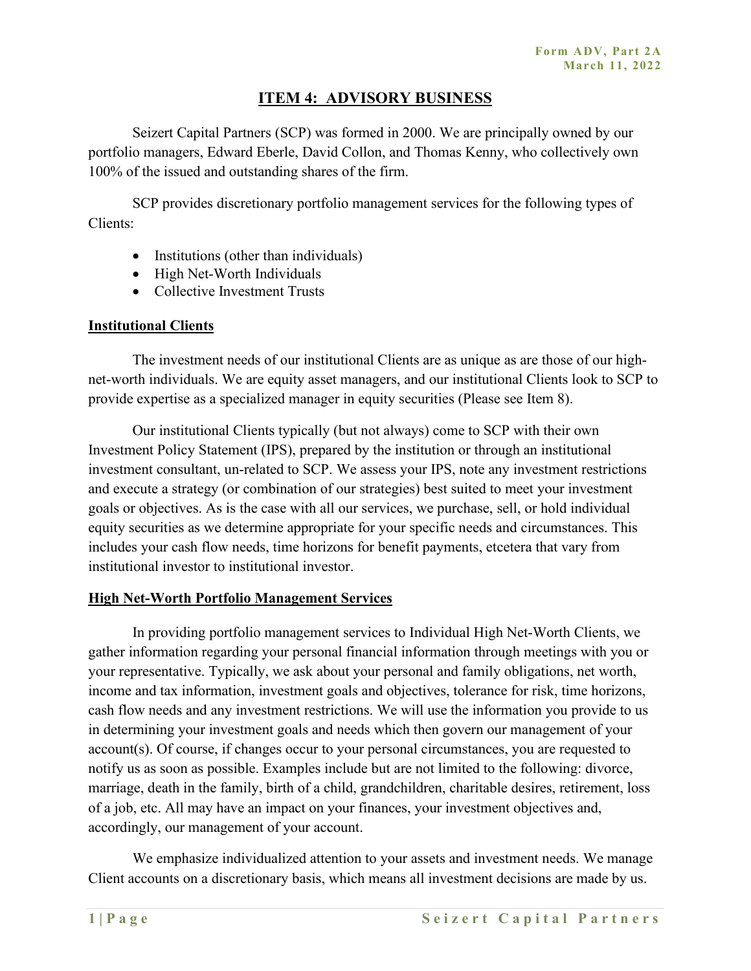## **ITEM 4: ADVISORY BUSINESS**

Seizert Capital Partners (SCP) was formed in 2000. We are principally owned by our portfolio managers, Edward Eberle, David Collon, and Thomas Kenny, who collectively own 100% of the issued and outstanding shares of the firm.

SCP provides discretionary portfolio management services for the following types of Clients:

- Institutions (other than individuals)
- High Net-Worth Individuals
- Collective Investment Trusts

#### **Institutional Clients**

The investment needs of our institutional Clients are as unique as are those of our highnet-worth individuals. We are equity asset managers, and our institutional Clients look to SCP to provide expertise as a specialized manager in equity securities (Please see Item 8).

Our institutional Clients typically (but not always) come to SCP with their own Investment Policy Statement (IPS), prepared by the institution or through an institutional investment consultant, un-related to SCP. We assess your IPS, note any investment restrictions and execute a strategy (or combination of our strategies) best suited to meet your investment goals or objectives. As is the case with all our services, we purchase, sell, or hold individual equity securities as we determine appropriate for your specific needs and circumstances. This includes your cash flow needs, time horizons for benefit payments, etcetera that vary from institutional investor to institutional investor.

#### **High Net-Worth Portfolio Management Services**

In providing portfolio management services to Individual High Net-Worth Clients, we gather information regarding your personal financial information through meetings with you or your representative. Typically, we ask about your personal and family obligations, net worth, income and tax information, investment goals and objectives, tolerance for risk, time horizons, cash flow needs and any investment restrictions. We will use the information you provide to us in determining your investment goals and needs which then govern our management of your account(s). Of course, if changes occur to your personal circumstances, you are requested to notify us as soon as possible. Examples include but are not limited to the following: divorce, marriage, death in the family, birth of a child, grandchildren, charitable desires, retirement, loss of a job, etc. All may have an impact on your finances, your investment objectives and, accordingly, our management of your account.

We emphasize individualized attention to your assets and investment needs. We manage Client accounts on a discretionary basis, which means all investment decisions are made by us.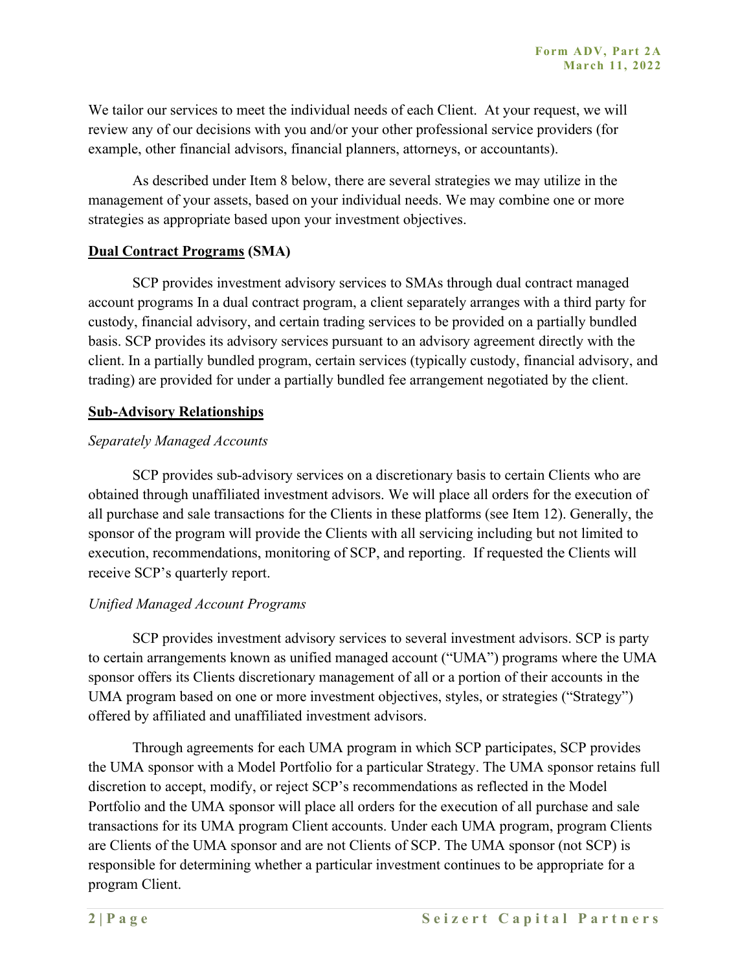We tailor our services to meet the individual needs of each Client. At your request, we will review any of our decisions with you and/or your other professional service providers (for example, other financial advisors, financial planners, attorneys, or accountants).

As described under Item 8 below, there are several strategies we may utilize in the management of your assets, based on your individual needs. We may combine one or more strategies as appropriate based upon your investment objectives.

#### **Dual Contract Programs (SMA)**

SCP provides investment advisory services to SMAs through dual contract managed account programs In a dual contract program, a client separately arranges with a third party for custody, financial advisory, and certain trading services to be provided on a partially bundled basis. SCP provides its advisory services pursuant to an advisory agreement directly with the client. In a partially bundled program, certain services (typically custody, financial advisory, and trading) are provided for under a partially bundled fee arrangement negotiated by the client.

#### **Sub-Advisory Relationships**

#### *Separately Managed Accounts*

SCP provides sub-advisory services on a discretionary basis to certain Clients who are obtained through unaffiliated investment advisors. We will place all orders for the execution of all purchase and sale transactions for the Clients in these platforms (see Item 12). Generally, the sponsor of the program will provide the Clients with all servicing including but not limited to execution, recommendations, monitoring of SCP, and reporting. If requested the Clients will receive SCP's quarterly report.

#### *Unified Managed Account Programs*

SCP provides investment advisory services to several investment advisors. SCP is party to certain arrangements known as unified managed account ("UMA") programs where the UMA sponsor offers its Clients discretionary management of all or a portion of their accounts in the UMA program based on one or more investment objectives, styles, or strategies ("Strategy") offered by affiliated and unaffiliated investment advisors.

Through agreements for each UMA program in which SCP participates, SCP provides the UMA sponsor with a Model Portfolio for a particular Strategy. The UMA sponsor retains full discretion to accept, modify, or reject SCP's recommendations as reflected in the Model Portfolio and the UMA sponsor will place all orders for the execution of all purchase and sale transactions for its UMA program Client accounts. Under each UMA program, program Clients are Clients of the UMA sponsor and are not Clients of SCP. The UMA sponsor (not SCP) is responsible for determining whether a particular investment continues to be appropriate for a program Client.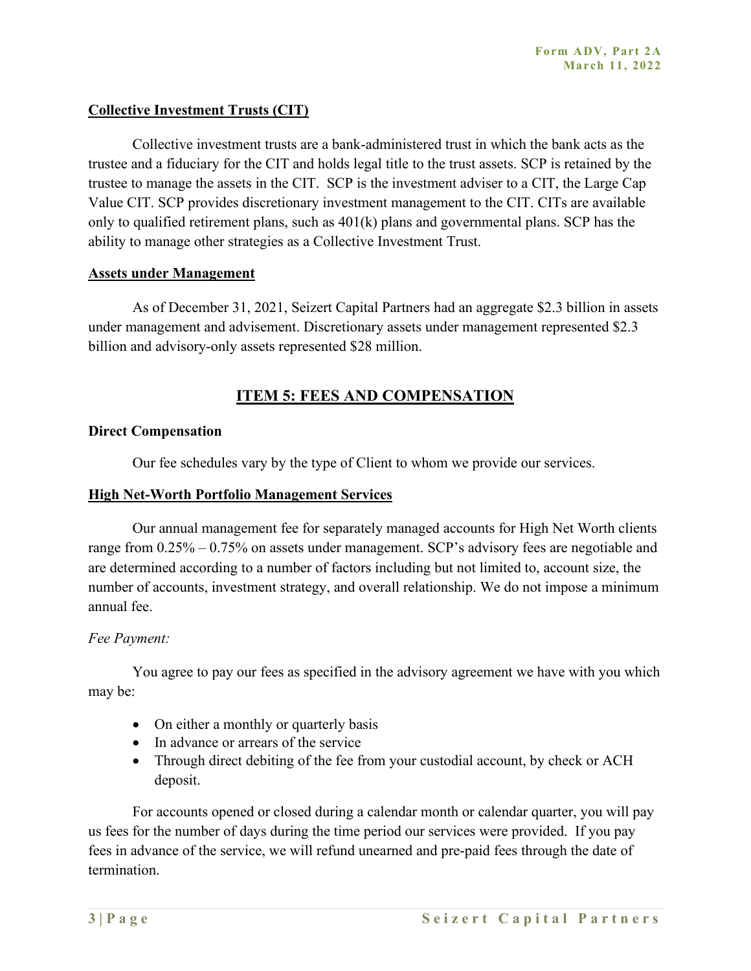#### **Collective Investment Trusts (CIT)**

Collective investment trusts are a bank-administered trust in which the bank acts as the trustee and a fiduciary for the CIT and holds legal title to the trust assets. SCP is retained by the trustee to manage the assets in the CIT. SCP is the investment adviser to a CIT, the Large Cap Value CIT. SCP provides discretionary investment management to the CIT. CITs are available only to qualified retirement plans, such as 401(k) plans and governmental plans. SCP has the ability to manage other strategies as a Collective Investment Trust.

#### **Assets under Management**

As of December 31, 2021, Seizert Capital Partners had an aggregate \$2.3 billion in assets under management and advisement. Discretionary assets under management represented \$2.3 billion and advisory-only assets represented \$28 million.

## **ITEM 5: FEES AND COMPENSATION**

#### **Direct Compensation**

Our fee schedules vary by the type of Client to whom we provide our services.

#### **High Net-Worth Portfolio Management Services**

Our annual management fee for separately managed accounts for High Net Worth clients range from 0.25% – 0.75% on assets under management. SCP's advisory fees are negotiable and are determined according to a number of factors including but not limited to, account size, the number of accounts, investment strategy, and overall relationship. We do not impose a minimum annual fee.

#### *Fee Payment:*

You agree to pay our fees as specified in the advisory agreement we have with you which may be:

- On either a monthly or quarterly basis
- In advance or arrears of the service
- Through direct debiting of the fee from your custodial account, by check or ACH deposit.

For accounts opened or closed during a calendar month or calendar quarter, you will pay us fees for the number of days during the time period our services were provided. If you pay fees in advance of the service, we will refund unearned and pre-paid fees through the date of termination.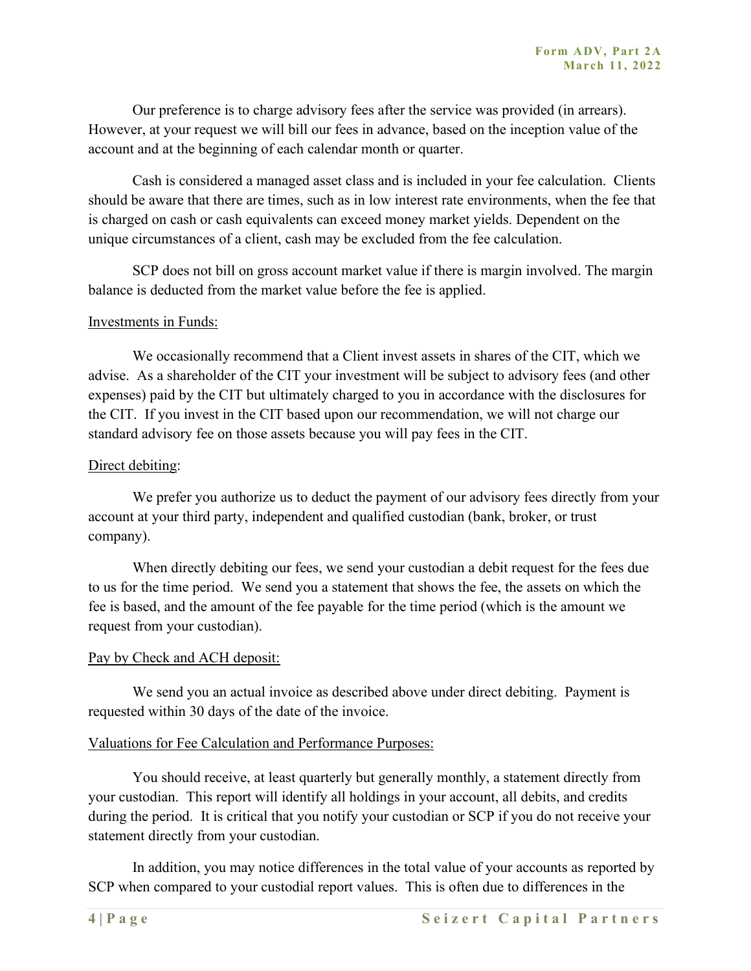Our preference is to charge advisory fees after the service was provided (in arrears). However, at your request we will bill our fees in advance, based on the inception value of the account and at the beginning of each calendar month or quarter.

Cash is considered a managed asset class and is included in your fee calculation. Clients should be aware that there are times, such as in low interest rate environments, when the fee that is charged on cash or cash equivalents can exceed money market yields. Dependent on the unique circumstances of a client, cash may be excluded from the fee calculation.

SCP does not bill on gross account market value if there is margin involved. The margin balance is deducted from the market value before the fee is applied.

#### Investments in Funds:

We occasionally recommend that a Client invest assets in shares of the CIT, which we advise. As a shareholder of the CIT your investment will be subject to advisory fees (and other expenses) paid by the CIT but ultimately charged to you in accordance with the disclosures for the CIT. If you invest in the CIT based upon our recommendation, we will not charge our standard advisory fee on those assets because you will pay fees in the CIT.

#### Direct debiting:

We prefer you authorize us to deduct the payment of our advisory fees directly from your account at your third party, independent and qualified custodian (bank, broker, or trust company).

When directly debiting our fees, we send your custodian a debit request for the fees due to us for the time period. We send you a statement that shows the fee, the assets on which the fee is based, and the amount of the fee payable for the time period (which is the amount we request from your custodian).

#### Pay by Check and ACH deposit:

We send you an actual invoice as described above under direct debiting. Payment is requested within 30 days of the date of the invoice.

#### Valuations for Fee Calculation and Performance Purposes:

You should receive, at least quarterly but generally monthly, a statement directly from your custodian. This report will identify all holdings in your account, all debits, and credits during the period. It is critical that you notify your custodian or SCP if you do not receive your statement directly from your custodian.

In addition, you may notice differences in the total value of your accounts as reported by SCP when compared to your custodial report values. This is often due to differences in the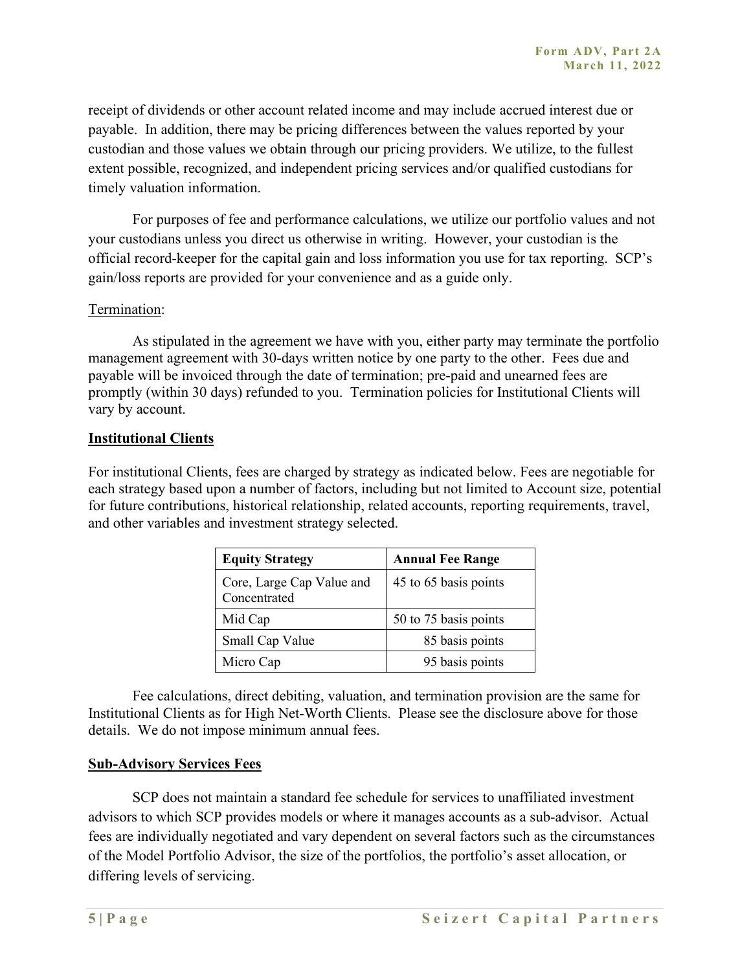receipt of dividends or other account related income and may include accrued interest due or payable. In addition, there may be pricing differences between the values reported by your custodian and those values we obtain through our pricing providers. We utilize, to the fullest extent possible, recognized, and independent pricing services and/or qualified custodians for timely valuation information.

For purposes of fee and performance calculations, we utilize our portfolio values and not your custodians unless you direct us otherwise in writing. However, your custodian is the official record-keeper for the capital gain and loss information you use for tax reporting. SCP's gain/loss reports are provided for your convenience and as a guide only.

#### Termination:

As stipulated in the agreement we have with you, either party may terminate the portfolio management agreement with 30-days written notice by one party to the other. Fees due and payable will be invoiced through the date of termination; pre-paid and unearned fees are promptly (within 30 days) refunded to you. Termination policies for Institutional Clients will vary by account.

#### **Institutional Clients**

For institutional Clients, fees are charged by strategy as indicated below. Fees are negotiable for each strategy based upon a number of factors, including but not limited to Account size, potential for future contributions, historical relationship, related accounts, reporting requirements, travel, and other variables and investment strategy selected.

| <b>Equity Strategy</b>                    | <b>Annual Fee Range</b> |
|-------------------------------------------|-------------------------|
| Core, Large Cap Value and<br>Concentrated | 45 to 65 basis points   |
| Mid Cap                                   | 50 to 75 basis points   |
| Small Cap Value                           | 85 basis points         |
| Micro Cap                                 | 95 basis points         |

Fee calculations, direct debiting, valuation, and termination provision are the same for Institutional Clients as for High Net-Worth Clients. Please see the disclosure above for those details. We do not impose minimum annual fees.

#### **Sub-Advisory Services Fees**

SCP does not maintain a standard fee schedule for services to unaffiliated investment advisors to which SCP provides models or where it manages accounts as a sub-advisor. Actual fees are individually negotiated and vary dependent on several factors such as the circumstances of the Model Portfolio Advisor, the size of the portfolios, the portfolio's asset allocation, or differing levels of servicing.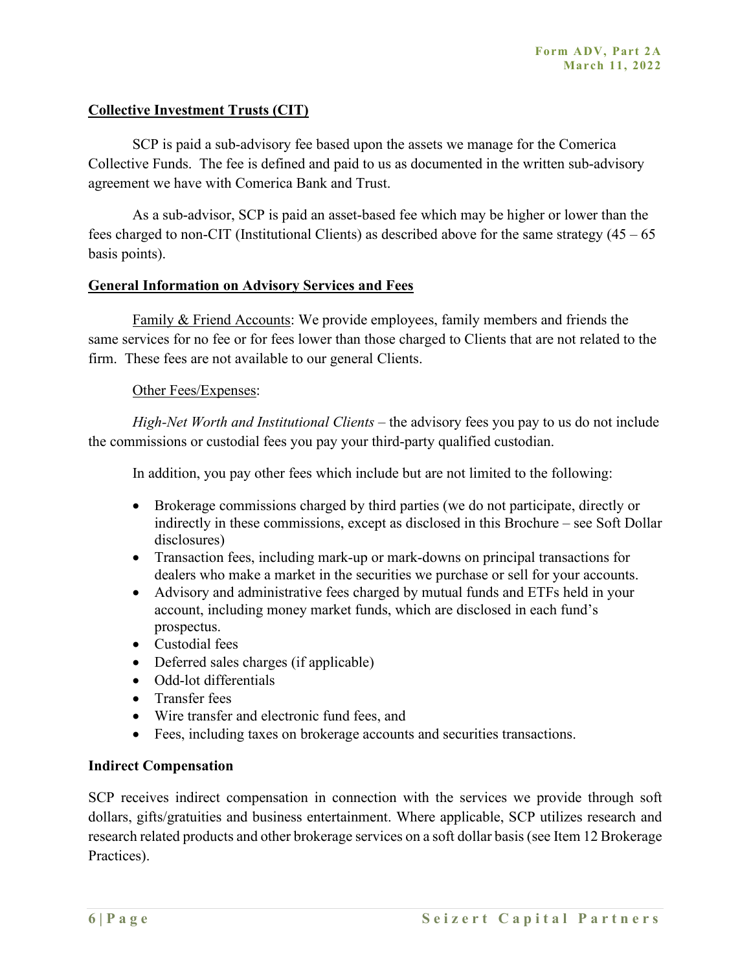#### **Collective Investment Trusts (CIT)**

SCP is paid a sub-advisory fee based upon the assets we manage for the Comerica Collective Funds. The fee is defined and paid to us as documented in the written sub-advisory agreement we have with Comerica Bank and Trust.

As a sub-advisor, SCP is paid an asset-based fee which may be higher or lower than the fees charged to non-CIT (Institutional Clients) as described above for the same strategy  $(45 - 65)$ basis points).

#### **General Information on Advisory Services and Fees**

Family & Friend Accounts: We provide employees, family members and friends the same services for no fee or for fees lower than those charged to Clients that are not related to the firm. These fees are not available to our general Clients.

#### Other Fees/Expenses:

*High-Net Worth and Institutional Clients* – the advisory fees you pay to us do not include the commissions or custodial fees you pay your third-party qualified custodian.

In addition, you pay other fees which include but are not limited to the following:

- Brokerage commissions charged by third parties (we do not participate, directly or indirectly in these commissions, except as disclosed in this Brochure – see Soft Dollar disclosures)
- Transaction fees, including mark-up or mark-downs on principal transactions for dealers who make a market in the securities we purchase or sell for your accounts.
- Advisory and administrative fees charged by mutual funds and ETFs held in your account, including money market funds, which are disclosed in each fund's prospectus.
- Custodial fees
- Deferred sales charges (if applicable)
- Odd-lot differentials
- Transfer fees
- Wire transfer and electronic fund fees, and
- Fees, including taxes on brokerage accounts and securities transactions.

#### **Indirect Compensation**

SCP receives indirect compensation in connection with the services we provide through soft dollars, gifts/gratuities and business entertainment. Where applicable, SCP utilizes research and research related products and other brokerage services on a soft dollar basis(see Item 12 Brokerage Practices).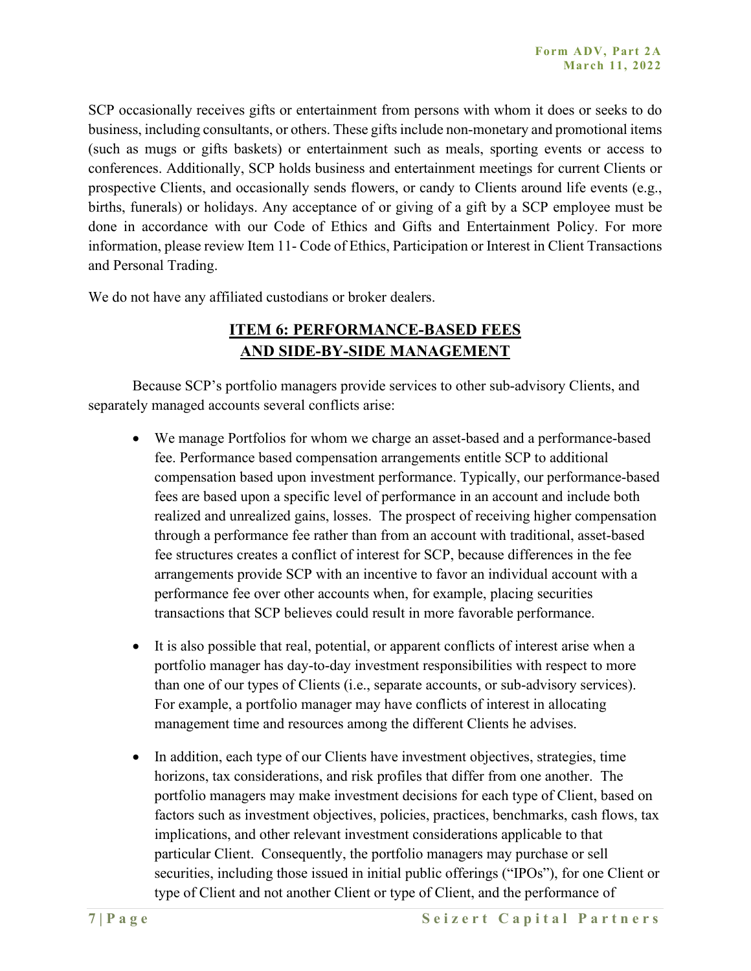SCP occasionally receives gifts or entertainment from persons with whom it does or seeks to do business, including consultants, or others. These gifts include non-monetary and promotional items (such as mugs or gifts baskets) or entertainment such as meals, sporting events or access to conferences. Additionally, SCP holds business and entertainment meetings for current Clients or prospective Clients, and occasionally sends flowers, or candy to Clients around life events (e.g., births, funerals) or holidays. Any acceptance of or giving of a gift by a SCP employee must be done in accordance with our Code of Ethics and Gifts and Entertainment Policy. For more information, please review Item 11- Code of Ethics, Participation or Interest in Client Transactions and Personal Trading.

We do not have any affiliated custodians or broker dealers.

## **ITEM 6: PERFORMANCE-BASED FEES AND SIDE-BY-SIDE MANAGEMENT**

Because SCP's portfolio managers provide services to other sub-advisory Clients, and separately managed accounts several conflicts arise:

- We manage Portfolios for whom we charge an asset-based and a performance-based fee. Performance based compensation arrangements entitle SCP to additional compensation based upon investment performance. Typically, our performance-based fees are based upon a specific level of performance in an account and include both realized and unrealized gains, losses. The prospect of receiving higher compensation through a performance fee rather than from an account with traditional, asset-based fee structures creates a conflict of interest for SCP, because differences in the fee arrangements provide SCP with an incentive to favor an individual account with a performance fee over other accounts when, for example, placing securities transactions that SCP believes could result in more favorable performance.
- It is also possible that real, potential, or apparent conflicts of interest arise when a portfolio manager has day-to-day investment responsibilities with respect to more than one of our types of Clients (i.e., separate accounts, or sub-advisory services). For example, a portfolio manager may have conflicts of interest in allocating management time and resources among the different Clients he advises.
- In addition, each type of our Clients have investment objectives, strategies, time horizons, tax considerations, and risk profiles that differ from one another. The portfolio managers may make investment decisions for each type of Client, based on factors such as investment objectives, policies, practices, benchmarks, cash flows, tax implications, and other relevant investment considerations applicable to that particular Client. Consequently, the portfolio managers may purchase or sell securities, including those issued in initial public offerings ("IPOs"), for one Client or type of Client and not another Client or type of Client, and the performance of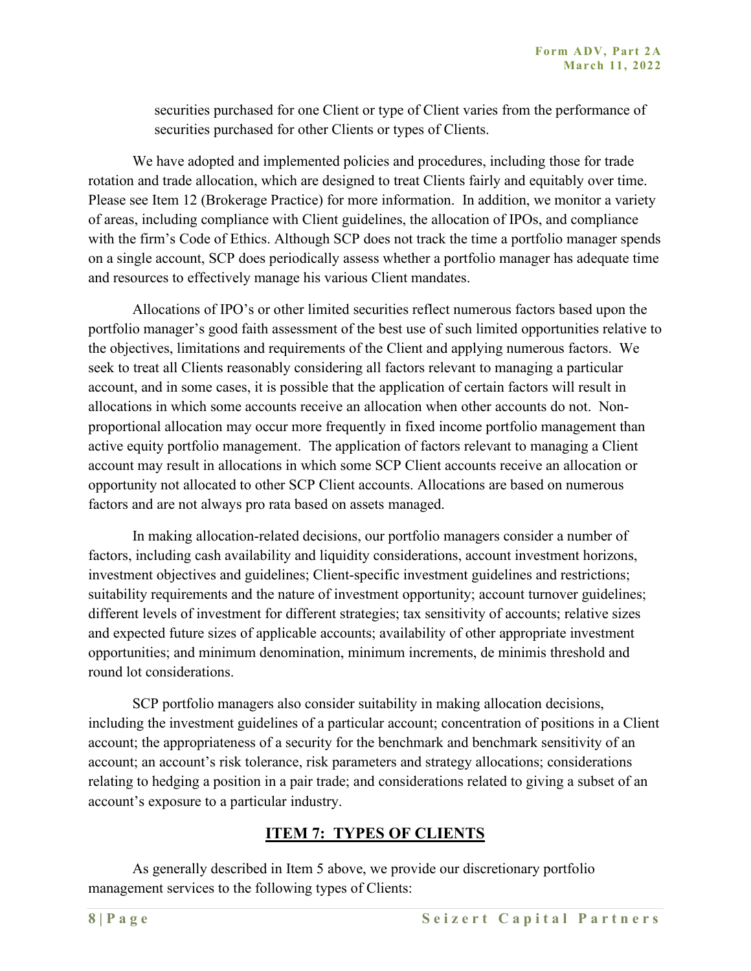securities purchased for one Client or type of Client varies from the performance of securities purchased for other Clients or types of Clients.

We have adopted and implemented policies and procedures, including those for trade rotation and trade allocation, which are designed to treat Clients fairly and equitably over time. Please see Item 12 (Brokerage Practice) for more information. In addition, we monitor a variety of areas, including compliance with Client guidelines, the allocation of IPOs, and compliance with the firm's Code of Ethics. Although SCP does not track the time a portfolio manager spends on a single account, SCP does periodically assess whether a portfolio manager has adequate time and resources to effectively manage his various Client mandates.

Allocations of IPO's or other limited securities reflect numerous factors based upon the portfolio manager's good faith assessment of the best use of such limited opportunities relative to the objectives, limitations and requirements of the Client and applying numerous factors. We seek to treat all Clients reasonably considering all factors relevant to managing a particular account, and in some cases, it is possible that the application of certain factors will result in allocations in which some accounts receive an allocation when other accounts do not. Nonproportional allocation may occur more frequently in fixed income portfolio management than active equity portfolio management. The application of factors relevant to managing a Client account may result in allocations in which some SCP Client accounts receive an allocation or opportunity not allocated to other SCP Client accounts. Allocations are based on numerous factors and are not always pro rata based on assets managed.

In making allocation-related decisions, our portfolio managers consider a number of factors, including cash availability and liquidity considerations, account investment horizons, investment objectives and guidelines; Client-specific investment guidelines and restrictions; suitability requirements and the nature of investment opportunity; account turnover guidelines; different levels of investment for different strategies; tax sensitivity of accounts; relative sizes and expected future sizes of applicable accounts; availability of other appropriate investment opportunities; and minimum denomination, minimum increments, de minimis threshold and round lot considerations.

SCP portfolio managers also consider suitability in making allocation decisions, including the investment guidelines of a particular account; concentration of positions in a Client account; the appropriateness of a security for the benchmark and benchmark sensitivity of an account; an account's risk tolerance, risk parameters and strategy allocations; considerations relating to hedging a position in a pair trade; and considerations related to giving a subset of an account's exposure to a particular industry.

## **ITEM 7: TYPES OF CLIENTS**

As generally described in Item 5 above, we provide our discretionary portfolio management services to the following types of Clients: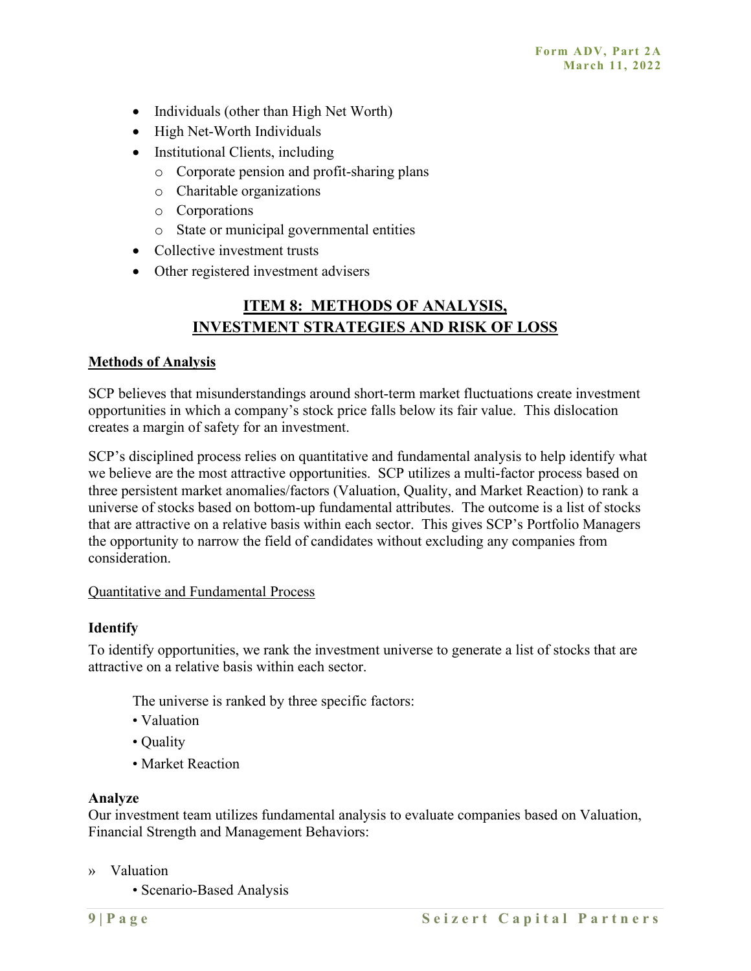- Individuals (other than High Net Worth)
- High Net-Worth Individuals
- Institutional Clients, including
	- o Corporate pension and profit-sharing plans
	- o Charitable organizations
	- o Corporations
	- o State or municipal governmental entities
- Collective investment trusts
- Other registered investment advisers

## **ITEM 8: METHODS OF ANALYSIS, INVESTMENT STRATEGIES AND RISK OF LOSS**

#### **Methods of Analysis**

SCP believes that misunderstandings around short-term market fluctuations create investment opportunities in which a company's stock price falls below its fair value. This dislocation creates a margin of safety for an investment.

SCP's disciplined process relies on quantitative and fundamental analysis to help identify what we believe are the most attractive opportunities. SCP utilizes a multi-factor process based on three persistent market anomalies/factors (Valuation, Quality, and Market Reaction) to rank a universe of stocks based on bottom-up fundamental attributes. The outcome is a list of stocks that are attractive on a relative basis within each sector. This gives SCP's Portfolio Managers the opportunity to narrow the field of candidates without excluding any companies from consideration.

#### Quantitative and Fundamental Process

#### **Identify**

To identify opportunities, we rank the investment universe to generate a list of stocks that are attractive on a relative basis within each sector.

The universe is ranked by three specific factors:

- Valuation
- Quality
- Market Reaction

#### **Analyze**

Our investment team utilizes fundamental analysis to evaluate companies based on Valuation, Financial Strength and Management Behaviors:

- » Valuation
	- Scenario-Based Analysis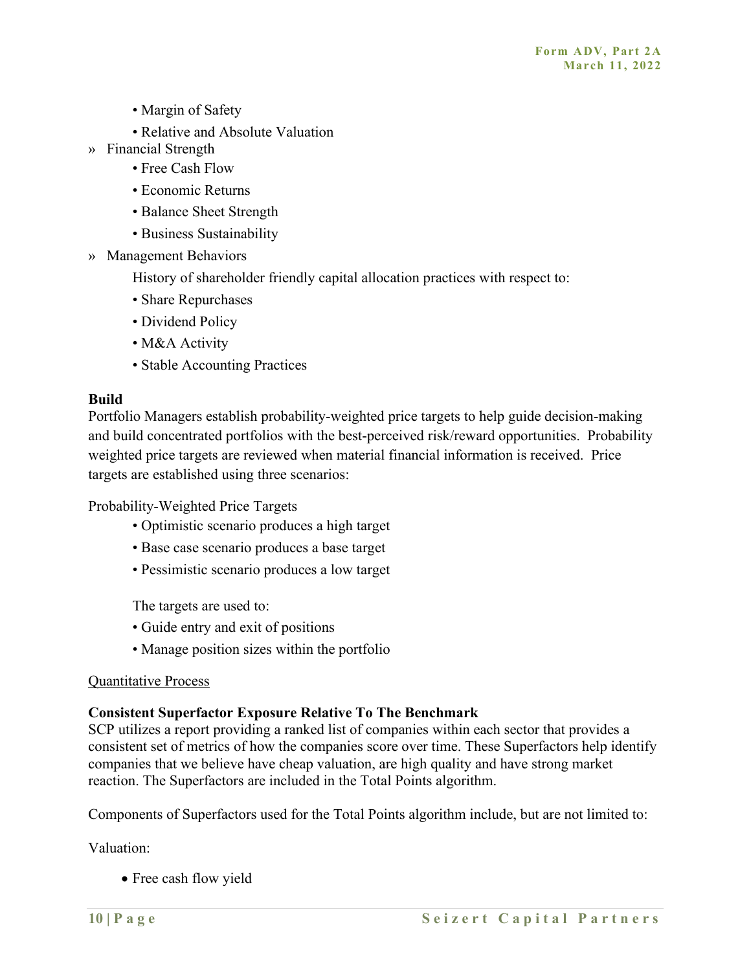- Margin of Safety
- Relative and Absolute Valuation
- » Financial Strength
	- Free Cash Flow
	- Economic Returns
	- Balance Sheet Strength
	- Business Sustainability
- » Management Behaviors

History of shareholder friendly capital allocation practices with respect to:

- Share Repurchases
- Dividend Policy
- M&A Activity
- Stable Accounting Practices

#### **Build**

Portfolio Managers establish probability-weighted price targets to help guide decision-making and build concentrated portfolios with the best-perceived risk/reward opportunities. Probability weighted price targets are reviewed when material financial information is received. Price targets are established using three scenarios:

Probability-Weighted Price Targets

- Optimistic scenario produces a high target
- Base case scenario produces a base target
- Pessimistic scenario produces a low target

The targets are used to:

- Guide entry and exit of positions
- Manage position sizes within the portfolio

#### Quantitative Process

#### **Consistent Superfactor Exposure Relative To The Benchmark**

SCP utilizes a report providing a ranked list of companies within each sector that provides a consistent set of metrics of how the companies score over time. These Superfactors help identify companies that we believe have cheap valuation, are high quality and have strong market reaction. The Superfactors are included in the Total Points algorithm.

Components of Superfactors used for the Total Points algorithm include, but are not limited to:

Valuation:

• Free cash flow yield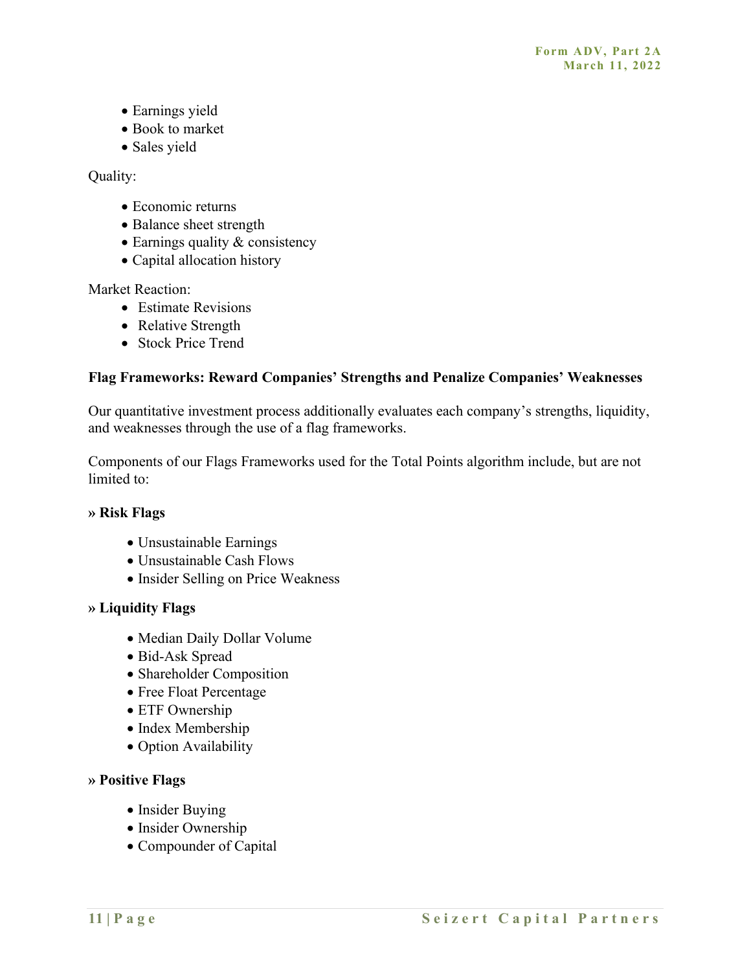- Earnings yield
- Book to market
- Sales yield

Quality:

- Economic returns
- Balance sheet strength
- Earnings quality & consistency
- Capital allocation history

Market Reaction:

- Estimate Revisions
- Relative Strength
- Stock Price Trend

## **Flag Frameworks: Reward Companies' Strengths and Penalize Companies' Weaknesses**

Our quantitative investment process additionally evaluates each company's strengths, liquidity, and weaknesses through the use of a flag frameworks.

Components of our Flags Frameworks used for the Total Points algorithm include, but are not limited to:

#### **» Risk Flags**

- Unsustainable Earnings
- Unsustainable Cash Flows
- Insider Selling on Price Weakness

#### **» Liquidity Flags**

- Median Daily Dollar Volume
- Bid-Ask Spread
- Shareholder Composition
- Free Float Percentage
- ETF Ownership
- Index Membership
- Option Availability

#### **» Positive Flags**

- Insider Buying
- Insider Ownership
- Compounder of Capital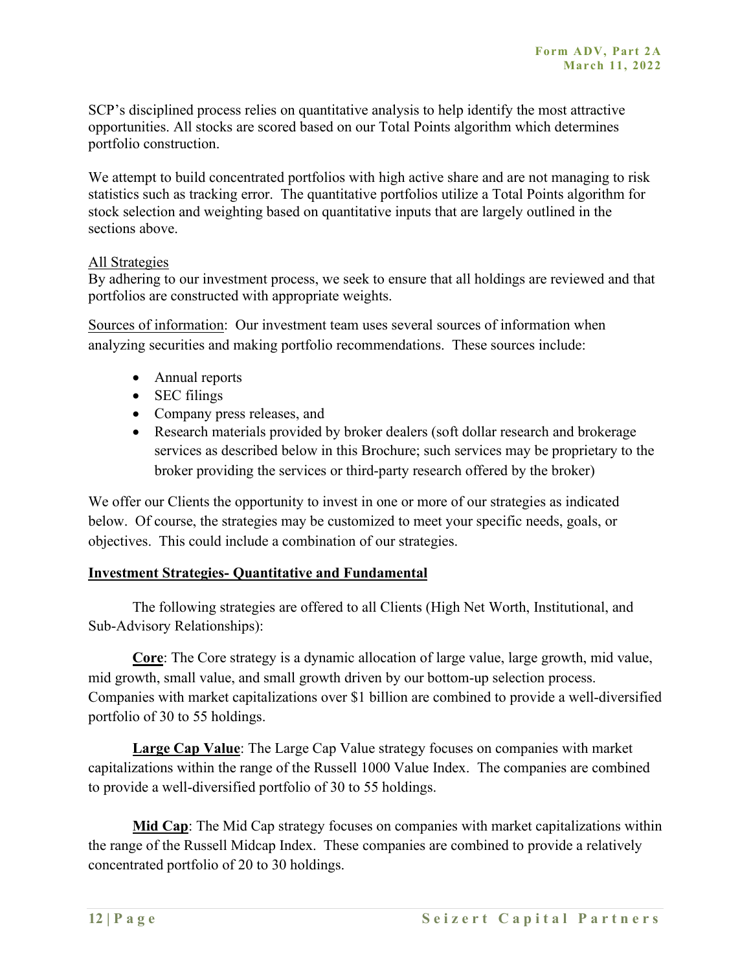SCP's disciplined process relies on quantitative analysis to help identify the most attractive opportunities. All stocks are scored based on our Total Points algorithm which determines portfolio construction.

We attempt to build concentrated portfolios with high active share and are not managing to risk statistics such as tracking error. The quantitative portfolios utilize a Total Points algorithm for stock selection and weighting based on quantitative inputs that are largely outlined in the sections above.

#### All Strategies

By adhering to our investment process, we seek to ensure that all holdings are reviewed and that portfolios are constructed with appropriate weights.

Sources of information: Our investment team uses several sources of information when analyzing securities and making portfolio recommendations. These sources include:

- Annual reports
- SEC filings
- Company press releases, and
- Research materials provided by broker dealers (soft dollar research and brokerage services as described below in this Brochure; such services may be proprietary to the broker providing the services or third-party research offered by the broker)

We offer our Clients the opportunity to invest in one or more of our strategies as indicated below. Of course, the strategies may be customized to meet your specific needs, goals, or objectives. This could include a combination of our strategies.

#### **Investment Strategies- Quantitative and Fundamental**

The following strategies are offered to all Clients (High Net Worth, Institutional, and Sub-Advisory Relationships):

**Core**: The Core strategy is a dynamic allocation of large value, large growth, mid value, mid growth, small value, and small growth driven by our bottom-up selection process. Companies with market capitalizations over \$1 billion are combined to provide a well-diversified portfolio of 30 to 55 holdings.

**Large Cap Value**: The Large Cap Value strategy focuses on companies with market capitalizations within the range of the Russell 1000 Value Index. The companies are combined to provide a well-diversified portfolio of 30 to 55 holdings.

**Mid Cap**: The Mid Cap strategy focuses on companies with market capitalizations within the range of the Russell Midcap Index. These companies are combined to provide a relatively concentrated portfolio of 20 to 30 holdings.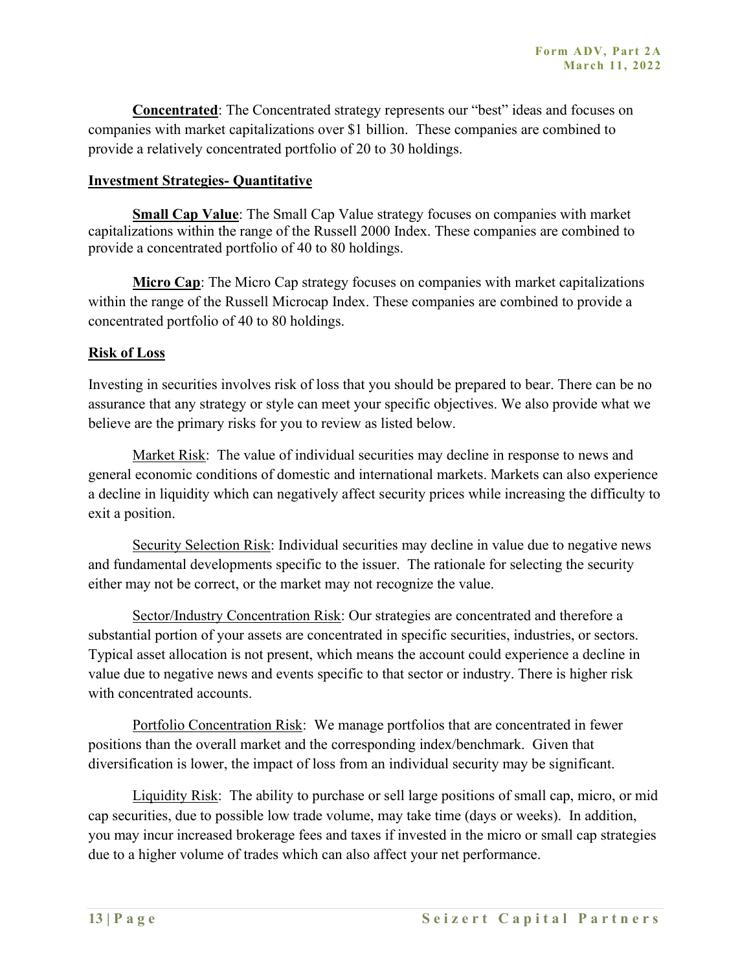**Concentrated**: The Concentrated strategy represents our "best" ideas and focuses on companies with market capitalizations over \$1 billion. These companies are combined to provide a relatively concentrated portfolio of 20 to 30 holdings.

#### **Investment Strategies- Quantitative**

**Small Cap Value**: The Small Cap Value strategy focuses on companies with market capitalizations within the range of the Russell 2000 Index. These companies are combined to provide a concentrated portfolio of 40 to 80 holdings.

**Micro Cap**: The Micro Cap strategy focuses on companies with market capitalizations within the range of the Russell Microcap Index. These companies are combined to provide a concentrated portfolio of 40 to 80 holdings.

#### **Risk of Loss**

Investing in securities involves risk of loss that you should be prepared to bear. There can be no assurance that any strategy or style can meet your specific objectives. We also provide what we believe are the primary risks for you to review as listed below.

Market Risk: The value of individual securities may decline in response to news and general economic conditions of domestic and international markets. Markets can also experience a decline in liquidity which can negatively affect security prices while increasing the difficulty to exit a position.

Security Selection Risk: Individual securities may decline in value due to negative news and fundamental developments specific to the issuer. The rationale for selecting the security either may not be correct, or the market may not recognize the value.

Sector/Industry Concentration Risk: Our strategies are concentrated and therefore a substantial portion of your assets are concentrated in specific securities, industries, or sectors. Typical asset allocation is not present, which means the account could experience a decline in value due to negative news and events specific to that sector or industry. There is higher risk with concentrated accounts.

Portfolio Concentration Risk: We manage portfolios that are concentrated in fewer positions than the overall market and the corresponding index/benchmark. Given that diversification is lower, the impact of loss from an individual security may be significant.

Liquidity Risk: The ability to purchase or sell large positions of small cap, micro, or mid cap securities, due to possible low trade volume, may take time (days or weeks). In addition, you may incur increased brokerage fees and taxes if invested in the micro or small cap strategies due to a higher volume of trades which can also affect your net performance.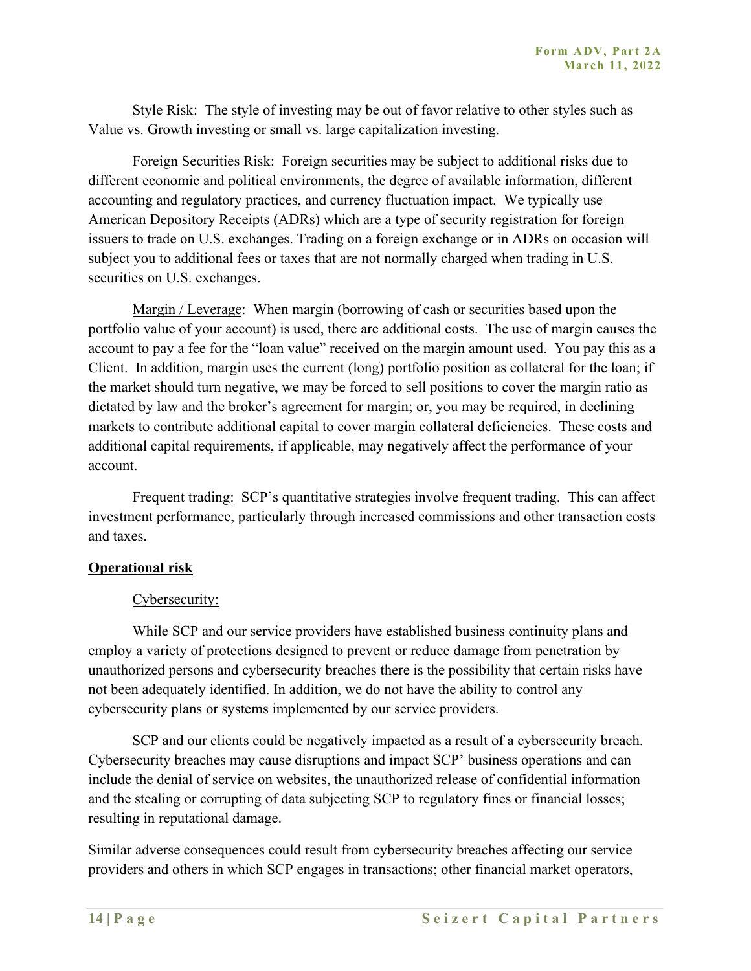Style Risk: The style of investing may be out of favor relative to other styles such as Value vs. Growth investing or small vs. large capitalization investing.

Foreign Securities Risk: Foreign securities may be subject to additional risks due to different economic and political environments, the degree of available information, different accounting and regulatory practices, and currency fluctuation impact. We typically use American Depository Receipts (ADRs) which are a type of security registration for foreign issuers to trade on U.S. exchanges. Trading on a foreign exchange or in ADRs on occasion will subject you to additional fees or taxes that are not normally charged when trading in U.S. securities on U.S. exchanges.

Margin / Leverage: When margin (borrowing of cash or securities based upon the portfolio value of your account) is used, there are additional costs. The use of margin causes the account to pay a fee for the "loan value" received on the margin amount used. You pay this as a Client. In addition, margin uses the current (long) portfolio position as collateral for the loan; if the market should turn negative, we may be forced to sell positions to cover the margin ratio as dictated by law and the broker's agreement for margin; or, you may be required, in declining markets to contribute additional capital to cover margin collateral deficiencies. These costs and additional capital requirements, if applicable, may negatively affect the performance of your account.

Frequent trading: SCP's quantitative strategies involve frequent trading. This can affect investment performance, particularly through increased commissions and other transaction costs and taxes.

#### **Operational risk**

#### Cybersecurity:

While SCP and our service providers have established business continuity plans and employ a variety of protections designed to prevent or reduce damage from penetration by unauthorized persons and cybersecurity breaches there is the possibility that certain risks have not been adequately identified. In addition, we do not have the ability to control any cybersecurity plans or systems implemented by our service providers.

SCP and our clients could be negatively impacted as a result of a cybersecurity breach. Cybersecurity breaches may cause disruptions and impact SCP' business operations and can include the denial of service on websites, the unauthorized release of confidential information and the stealing or corrupting of data subjecting SCP to regulatory fines or financial losses; resulting in reputational damage.

Similar adverse consequences could result from cybersecurity breaches affecting our service providers and others in which SCP engages in transactions; other financial market operators,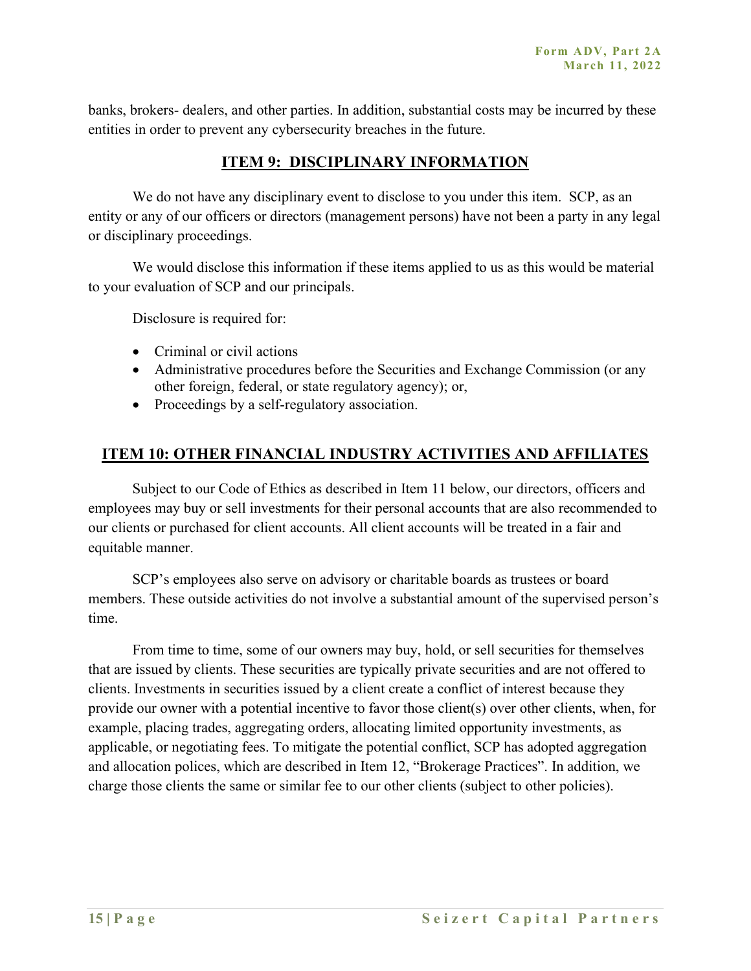banks, brokers- dealers, and other parties. In addition, substantial costs may be incurred by these entities in order to prevent any cybersecurity breaches in the future.

## **ITEM 9: DISCIPLINARY INFORMATION**

We do not have any disciplinary event to disclose to you under this item. SCP, as an entity or any of our officers or directors (management persons) have not been a party in any legal or disciplinary proceedings.

We would disclose this information if these items applied to us as this would be material to your evaluation of SCP and our principals.

Disclosure is required for:

- Criminal or civil actions
- Administrative procedures before the Securities and Exchange Commission (or any other foreign, federal, or state regulatory agency); or,
- Proceedings by a self-regulatory association.

## **ITEM 10: OTHER FINANCIAL INDUSTRY ACTIVITIES AND AFFILIATES**

Subject to our Code of Ethics as described in Item 11 below, our directors, officers and employees may buy or sell investments for their personal accounts that are also recommended to our clients or purchased for client accounts. All client accounts will be treated in a fair and equitable manner.

SCP's employees also serve on advisory or charitable boards as trustees or board members. These outside activities do not involve a substantial amount of the supervised person's time.

From time to time, some of our owners may buy, hold, or sell securities for themselves that are issued by clients. These securities are typically private securities and are not offered to clients. Investments in securities issued by a client create a conflict of interest because they provide our owner with a potential incentive to favor those client(s) over other clients, when, for example, placing trades, aggregating orders, allocating limited opportunity investments, as applicable, or negotiating fees. To mitigate the potential conflict, SCP has adopted aggregation and allocation polices, which are described in Item 12, "Brokerage Practices". In addition, we charge those clients the same or similar fee to our other clients (subject to other policies).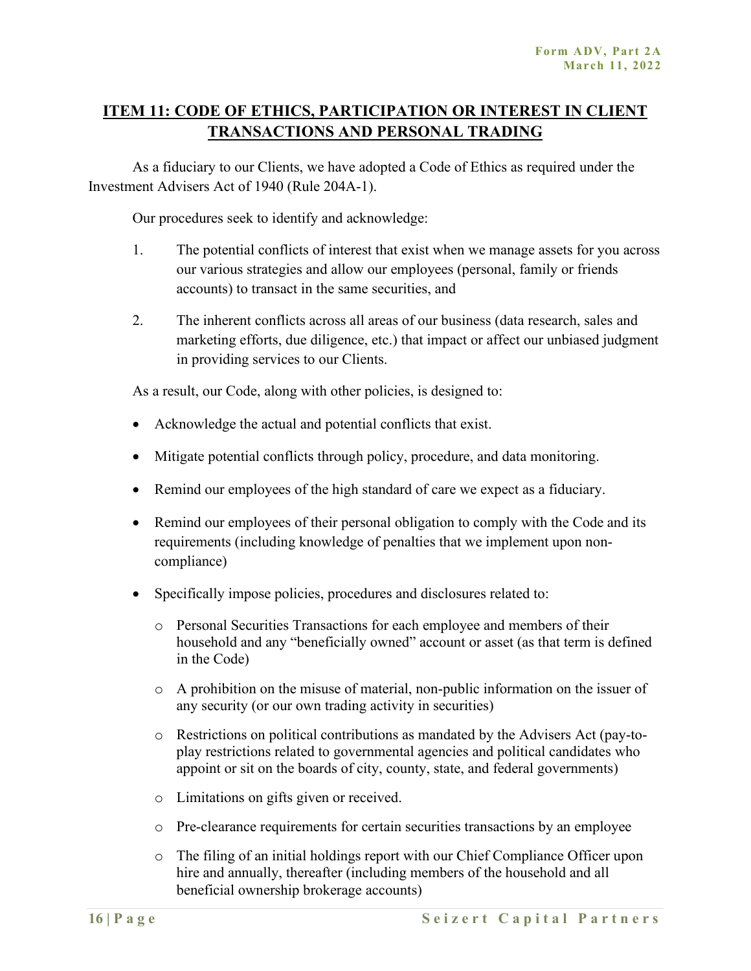## **ITEM 11: CODE OF ETHICS, PARTICIPATION OR INTEREST IN CLIENT TRANSACTIONS AND PERSONAL TRADING**

As a fiduciary to our Clients, we have adopted a Code of Ethics as required under the Investment Advisers Act of 1940 (Rule 204A-1).

Our procedures seek to identify and acknowledge:

- 1. The potential conflicts of interest that exist when we manage assets for you across our various strategies and allow our employees (personal, family or friends accounts) to transact in the same securities, and
- 2. The inherent conflicts across all areas of our business (data research, sales and marketing efforts, due diligence, etc.) that impact or affect our unbiased judgment in providing services to our Clients.

As a result, our Code, along with other policies, is designed to:

- Acknowledge the actual and potential conflicts that exist.
- Mitigate potential conflicts through policy, procedure, and data monitoring.
- Remind our employees of the high standard of care we expect as a fiduciary.
- Remind our employees of their personal obligation to comply with the Code and its requirements (including knowledge of penalties that we implement upon noncompliance)
- Specifically impose policies, procedures and disclosures related to:
	- o Personal Securities Transactions for each employee and members of their household and any "beneficially owned" account or asset (as that term is defined in the Code)
	- o A prohibition on the misuse of material, non-public information on the issuer of any security (or our own trading activity in securities)
	- o Restrictions on political contributions as mandated by the Advisers Act (pay-toplay restrictions related to governmental agencies and political candidates who appoint or sit on the boards of city, county, state, and federal governments)
	- o Limitations on gifts given or received.
	- o Pre-clearance requirements for certain securities transactions by an employee
	- o The filing of an initial holdings report with our Chief Compliance Officer upon hire and annually, thereafter (including members of the household and all beneficial ownership brokerage accounts)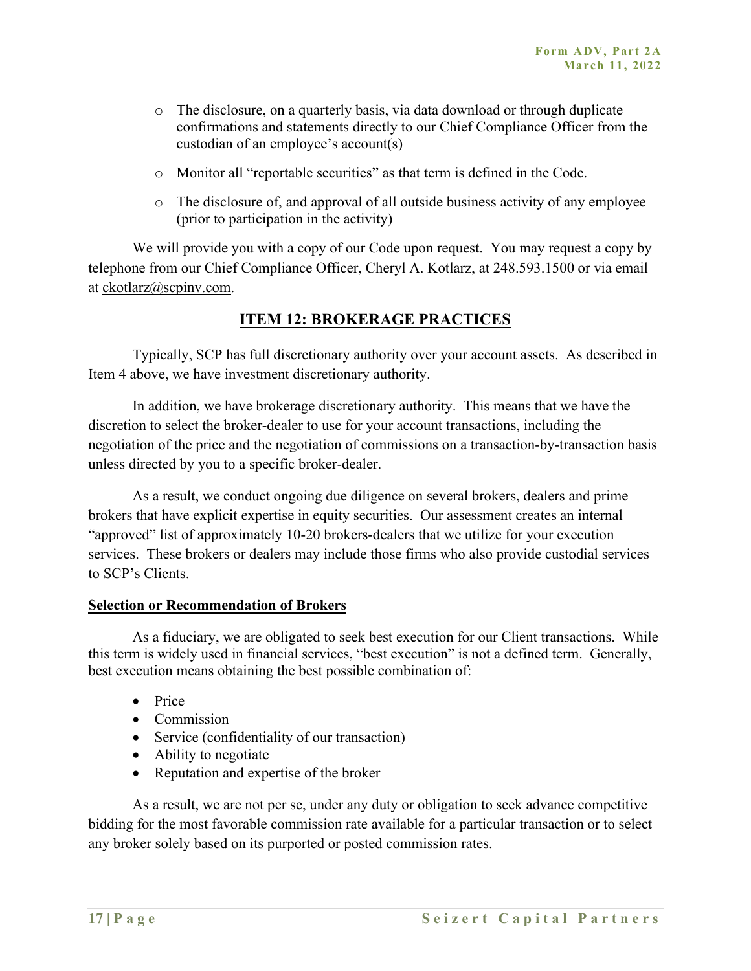- o The disclosure, on a quarterly basis, via data download or through duplicate confirmations and statements directly to our Chief Compliance Officer from the custodian of an employee's account(s)
- o Monitor all "reportable securities" as that term is defined in the Code.
- o The disclosure of, and approval of all outside business activity of any employee (prior to participation in the activity)

We will provide you with a copy of our Code upon request. You may request a copy by telephone from our Chief Compliance Officer, Cheryl A. Kotlarz, at 248.593.1500 or via email at ckotlarz@scpinv.com.

## **ITEM 12: BROKERAGE PRACTICES**

Typically, SCP has full discretionary authority over your account assets. As described in Item 4 above, we have investment discretionary authority.

In addition, we have brokerage discretionary authority. This means that we have the discretion to select the broker-dealer to use for your account transactions, including the negotiation of the price and the negotiation of commissions on a transaction-by-transaction basis unless directed by you to a specific broker-dealer.

As a result, we conduct ongoing due diligence on several brokers, dealers and prime brokers that have explicit expertise in equity securities. Our assessment creates an internal "approved" list of approximately 10-20 brokers-dealers that we utilize for your execution services. These brokers or dealers may include those firms who also provide custodial services to SCP's Clients.

#### **Selection or Recommendation of Brokers**

As a fiduciary, we are obligated to seek best execution for our Client transactions. While this term is widely used in financial services, "best execution" is not a defined term. Generally, best execution means obtaining the best possible combination of:

- Price
- Commission
- Service (confidentiality of our transaction)
- Ability to negotiate
- Reputation and expertise of the broker

As a result, we are not per se, under any duty or obligation to seek advance competitive bidding for the most favorable commission rate available for a particular transaction or to select any broker solely based on its purported or posted commission rates.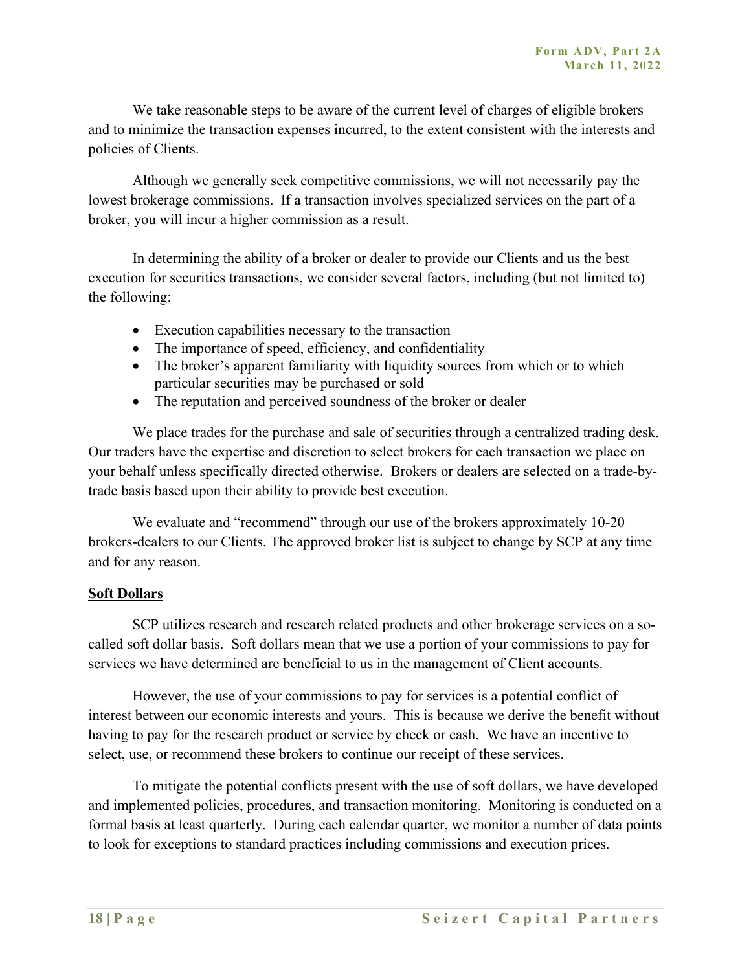We take reasonable steps to be aware of the current level of charges of eligible brokers and to minimize the transaction expenses incurred, to the extent consistent with the interests and policies of Clients.

Although we generally seek competitive commissions, we will not necessarily pay the lowest brokerage commissions. If a transaction involves specialized services on the part of a broker, you will incur a higher commission as a result.

In determining the ability of a broker or dealer to provide our Clients and us the best execution for securities transactions, we consider several factors, including (but not limited to) the following:

- Execution capabilities necessary to the transaction
- The importance of speed, efficiency, and confidentiality
- The broker's apparent familiarity with liquidity sources from which or to which particular securities may be purchased or sold
- The reputation and perceived soundness of the broker or dealer

We place trades for the purchase and sale of securities through a centralized trading desk. Our traders have the expertise and discretion to select brokers for each transaction we place on your behalf unless specifically directed otherwise. Brokers or dealers are selected on a trade-bytrade basis based upon their ability to provide best execution.

We evaluate and "recommend" through our use of the brokers approximately 10-20 brokers-dealers to our Clients. The approved broker list is subject to change by SCP at any time and for any reason.

#### **Soft Dollars**

SCP utilizes research and research related products and other brokerage services on a socalled soft dollar basis. Soft dollars mean that we use a portion of your commissions to pay for services we have determined are beneficial to us in the management of Client accounts.

However, the use of your commissions to pay for services is a potential conflict of interest between our economic interests and yours. This is because we derive the benefit without having to pay for the research product or service by check or cash. We have an incentive to select, use, or recommend these brokers to continue our receipt of these services.

To mitigate the potential conflicts present with the use of soft dollars, we have developed and implemented policies, procedures, and transaction monitoring. Monitoring is conducted on a formal basis at least quarterly. During each calendar quarter, we monitor a number of data points to look for exceptions to standard practices including commissions and execution prices.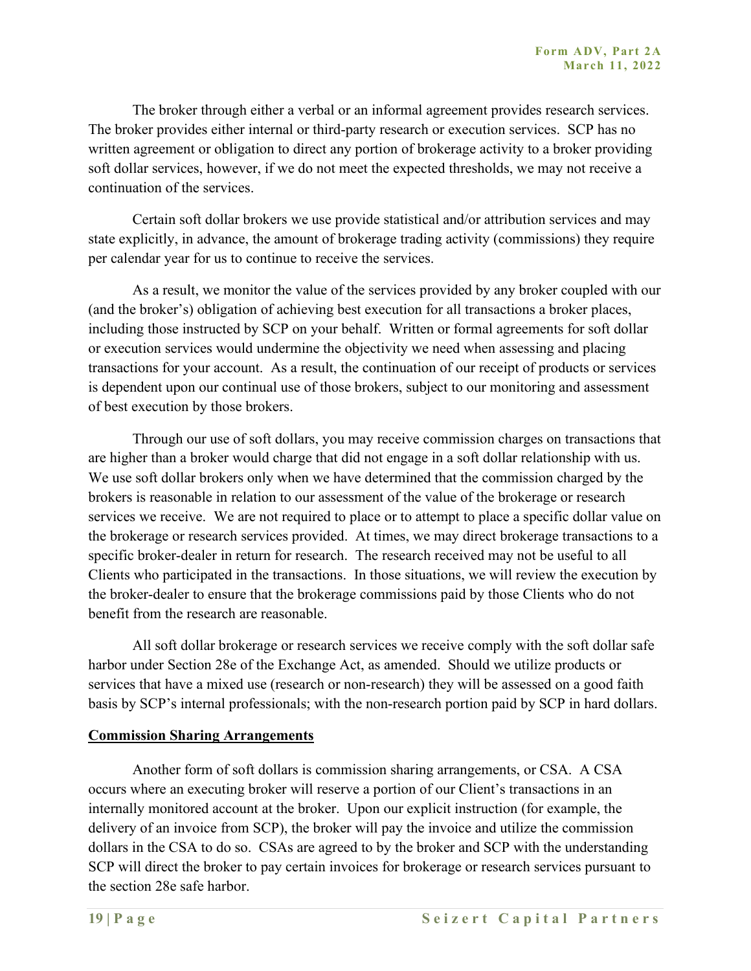The broker through either a verbal or an informal agreement provides research services. The broker provides either internal or third-party research or execution services. SCP has no written agreement or obligation to direct any portion of brokerage activity to a broker providing soft dollar services, however, if we do not meet the expected thresholds, we may not receive a continuation of the services.

Certain soft dollar brokers we use provide statistical and/or attribution services and may state explicitly, in advance, the amount of brokerage trading activity (commissions) they require per calendar year for us to continue to receive the services.

As a result, we monitor the value of the services provided by any broker coupled with our (and the broker's) obligation of achieving best execution for all transactions a broker places, including those instructed by SCP on your behalf. Written or formal agreements for soft dollar or execution services would undermine the objectivity we need when assessing and placing transactions for your account. As a result, the continuation of our receipt of products or services is dependent upon our continual use of those brokers, subject to our monitoring and assessment of best execution by those brokers.

Through our use of soft dollars, you may receive commission charges on transactions that are higher than a broker would charge that did not engage in a soft dollar relationship with us. We use soft dollar brokers only when we have determined that the commission charged by the brokers is reasonable in relation to our assessment of the value of the brokerage or research services we receive. We are not required to place or to attempt to place a specific dollar value on the brokerage or research services provided. At times, we may direct brokerage transactions to a specific broker-dealer in return for research. The research received may not be useful to all Clients who participated in the transactions. In those situations, we will review the execution by the broker-dealer to ensure that the brokerage commissions paid by those Clients who do not benefit from the research are reasonable.

All soft dollar brokerage or research services we receive comply with the soft dollar safe harbor under Section 28e of the Exchange Act, as amended. Should we utilize products or services that have a mixed use (research or non-research) they will be assessed on a good faith basis by SCP's internal professionals; with the non-research portion paid by SCP in hard dollars.

#### **Commission Sharing Arrangements**

Another form of soft dollars is commission sharing arrangements, or CSA. A CSA occurs where an executing broker will reserve a portion of our Client's transactions in an internally monitored account at the broker. Upon our explicit instruction (for example, the delivery of an invoice from SCP), the broker will pay the invoice and utilize the commission dollars in the CSA to do so. CSAs are agreed to by the broker and SCP with the understanding SCP will direct the broker to pay certain invoices for brokerage or research services pursuant to the section 28e safe harbor.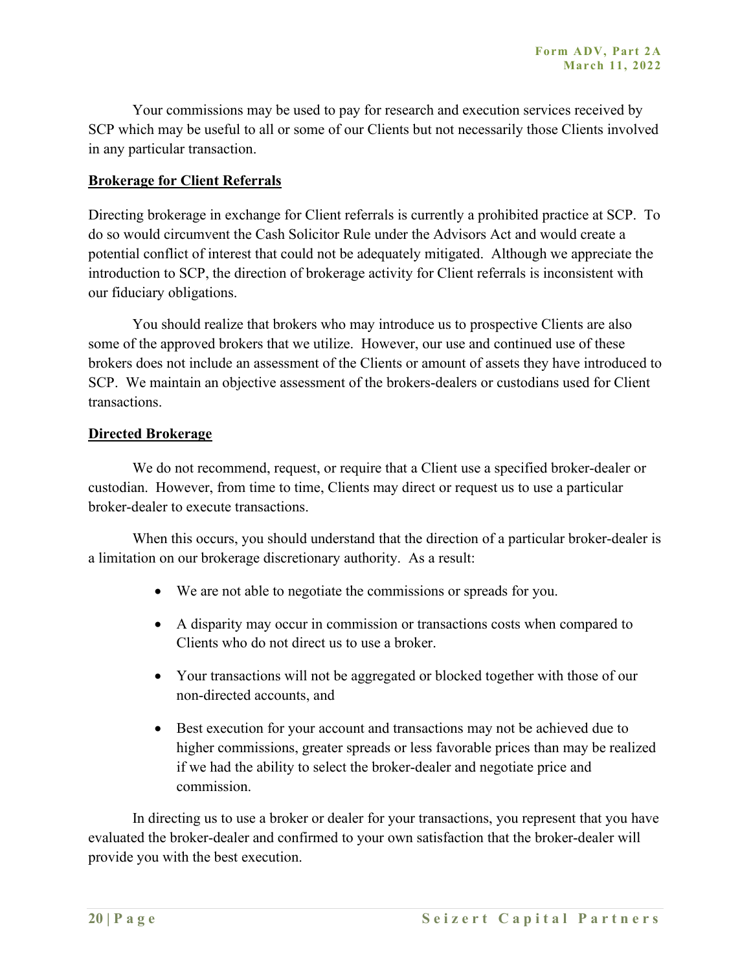Your commissions may be used to pay for research and execution services received by SCP which may be useful to all or some of our Clients but not necessarily those Clients involved in any particular transaction.

#### **Brokerage for Client Referrals**

Directing brokerage in exchange for Client referrals is currently a prohibited practice at SCP. To do so would circumvent the Cash Solicitor Rule under the Advisors Act and would create a potential conflict of interest that could not be adequately mitigated. Although we appreciate the introduction to SCP, the direction of brokerage activity for Client referrals is inconsistent with our fiduciary obligations.

You should realize that brokers who may introduce us to prospective Clients are also some of the approved brokers that we utilize. However, our use and continued use of these brokers does not include an assessment of the Clients or amount of assets they have introduced to SCP. We maintain an objective assessment of the brokers-dealers or custodians used for Client transactions.

#### **Directed Brokerage**

We do not recommend, request, or require that a Client use a specified broker-dealer or custodian. However, from time to time, Clients may direct or request us to use a particular broker-dealer to execute transactions.

When this occurs, you should understand that the direction of a particular broker-dealer is a limitation on our brokerage discretionary authority. As a result:

- We are not able to negotiate the commissions or spreads for you.
- A disparity may occur in commission or transactions costs when compared to Clients who do not direct us to use a broker.
- Your transactions will not be aggregated or blocked together with those of our non-directed accounts, and
- Best execution for your account and transactions may not be achieved due to higher commissions, greater spreads or less favorable prices than may be realized if we had the ability to select the broker-dealer and negotiate price and commission.

In directing us to use a broker or dealer for your transactions, you represent that you have evaluated the broker-dealer and confirmed to your own satisfaction that the broker-dealer will provide you with the best execution.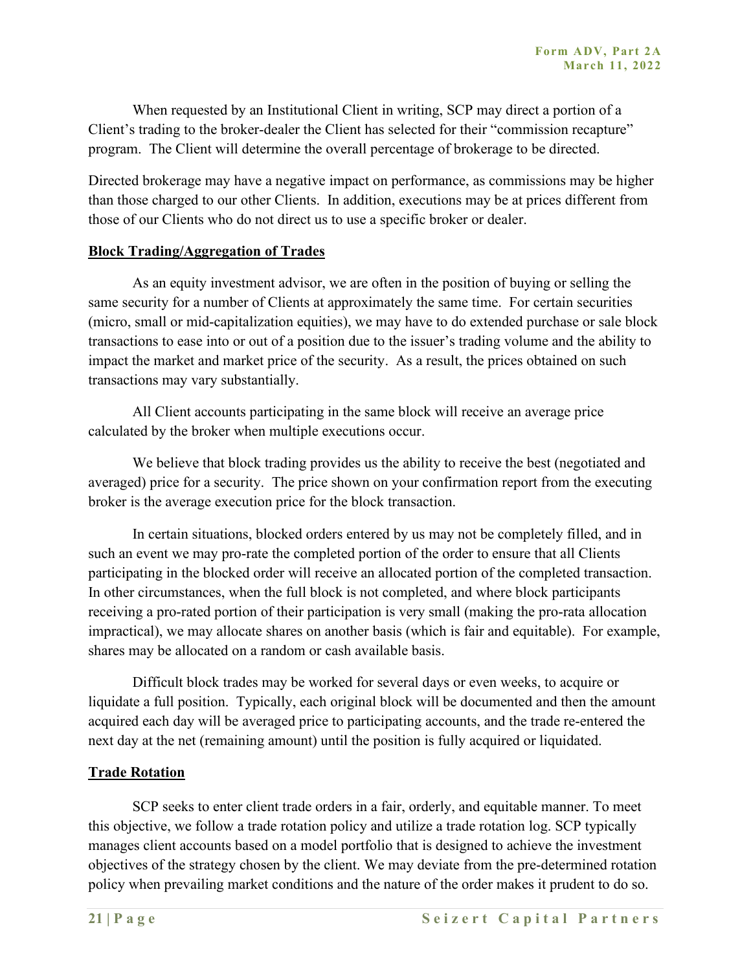When requested by an Institutional Client in writing, SCP may direct a portion of a Client's trading to the broker-dealer the Client has selected for their "commission recapture" program. The Client will determine the overall percentage of brokerage to be directed.

Directed brokerage may have a negative impact on performance, as commissions may be higher than those charged to our other Clients. In addition, executions may be at prices different from those of our Clients who do not direct us to use a specific broker or dealer.

#### **Block Trading/Aggregation of Trades**

As an equity investment advisor, we are often in the position of buying or selling the same security for a number of Clients at approximately the same time. For certain securities (micro, small or mid-capitalization equities), we may have to do extended purchase or sale block transactions to ease into or out of a position due to the issuer's trading volume and the ability to impact the market and market price of the security. As a result, the prices obtained on such transactions may vary substantially.

All Client accounts participating in the same block will receive an average price calculated by the broker when multiple executions occur.

We believe that block trading provides us the ability to receive the best (negotiated and averaged) price for a security. The price shown on your confirmation report from the executing broker is the average execution price for the block transaction.

In certain situations, blocked orders entered by us may not be completely filled, and in such an event we may pro-rate the completed portion of the order to ensure that all Clients participating in the blocked order will receive an allocated portion of the completed transaction. In other circumstances, when the full block is not completed, and where block participants receiving a pro-rated portion of their participation is very small (making the pro-rata allocation impractical), we may allocate shares on another basis (which is fair and equitable). For example, shares may be allocated on a random or cash available basis.

Difficult block trades may be worked for several days or even weeks, to acquire or liquidate a full position. Typically, each original block will be documented and then the amount acquired each day will be averaged price to participating accounts, and the trade re-entered the next day at the net (remaining amount) until the position is fully acquired or liquidated.

#### **Trade Rotation**

SCP seeks to enter client trade orders in a fair, orderly, and equitable manner. To meet this objective, we follow a trade rotation policy and utilize a trade rotation log. SCP typically manages client accounts based on a model portfolio that is designed to achieve the investment objectives of the strategy chosen by the client. We may deviate from the pre-determined rotation policy when prevailing market conditions and the nature of the order makes it prudent to do so.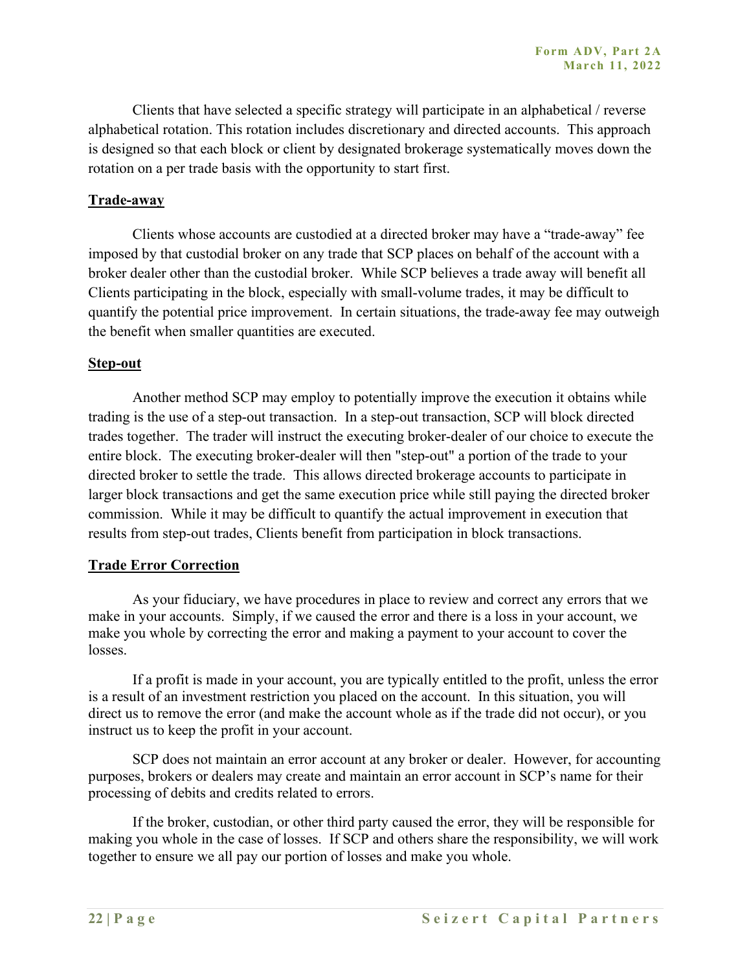Clients that have selected a specific strategy will participate in an alphabetical / reverse alphabetical rotation. This rotation includes discretionary and directed accounts. This approach is designed so that each block or client by designated brokerage systematically moves down the rotation on a per trade basis with the opportunity to start first.

#### **Trade-away**

Clients whose accounts are custodied at a directed broker may have a "trade-away" fee imposed by that custodial broker on any trade that SCP places on behalf of the account with a broker dealer other than the custodial broker. While SCP believes a trade away will benefit all Clients participating in the block, especially with small-volume trades, it may be difficult to quantify the potential price improvement. In certain situations, the trade-away fee may outweigh the benefit when smaller quantities are executed.

#### **Step-out**

Another method SCP may employ to potentially improve the execution it obtains while trading is the use of a step-out transaction. In a step-out transaction, SCP will block directed trades together. The trader will instruct the executing broker-dealer of our choice to execute the entire block. The executing broker-dealer will then "step-out" a portion of the trade to your directed broker to settle the trade. This allows directed brokerage accounts to participate in larger block transactions and get the same execution price while still paying the directed broker commission. While it may be difficult to quantify the actual improvement in execution that results from step-out trades, Clients benefit from participation in block transactions.

#### **Trade Error Correction**

As your fiduciary, we have procedures in place to review and correct any errors that we make in your accounts. Simply, if we caused the error and there is a loss in your account, we make you whole by correcting the error and making a payment to your account to cover the losses.

If a profit is made in your account, you are typically entitled to the profit, unless the error is a result of an investment restriction you placed on the account. In this situation, you will direct us to remove the error (and make the account whole as if the trade did not occur), or you instruct us to keep the profit in your account.

SCP does not maintain an error account at any broker or dealer. However, for accounting purposes, brokers or dealers may create and maintain an error account in SCP's name for their processing of debits and credits related to errors.

If the broker, custodian, or other third party caused the error, they will be responsible for making you whole in the case of losses. If SCP and others share the responsibility, we will work together to ensure we all pay our portion of losses and make you whole.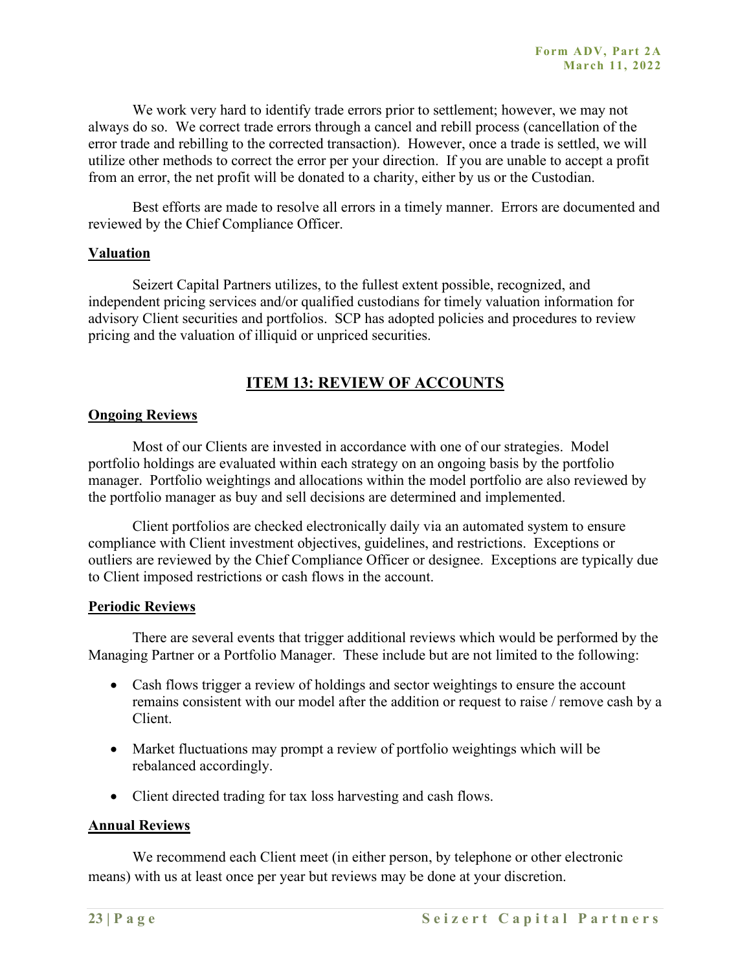We work very hard to identify trade errors prior to settlement; however, we may not always do so. We correct trade errors through a cancel and rebill process (cancellation of the error trade and rebilling to the corrected transaction). However, once a trade is settled, we will utilize other methods to correct the error per your direction. If you are unable to accept a profit from an error, the net profit will be donated to a charity, either by us or the Custodian.

Best efforts are made to resolve all errors in a timely manner. Errors are documented and reviewed by the Chief Compliance Officer.

#### **Valuation**

Seizert Capital Partners utilizes, to the fullest extent possible, recognized, and independent pricing services and/or qualified custodians for timely valuation information for advisory Client securities and portfolios. SCP has adopted policies and procedures to review pricing and the valuation of illiquid or unpriced securities.

## **ITEM 13: REVIEW OF ACCOUNTS**

#### **Ongoing Reviews**

Most of our Clients are invested in accordance with one of our strategies. Model portfolio holdings are evaluated within each strategy on an ongoing basis by the portfolio manager. Portfolio weightings and allocations within the model portfolio are also reviewed by the portfolio manager as buy and sell decisions are determined and implemented.

Client portfolios are checked electronically daily via an automated system to ensure compliance with Client investment objectives, guidelines, and restrictions. Exceptions or outliers are reviewed by the Chief Compliance Officer or designee. Exceptions are typically due to Client imposed restrictions or cash flows in the account.

#### **Periodic Reviews**

There are several events that trigger additional reviews which would be performed by the Managing Partner or a Portfolio Manager. These include but are not limited to the following:

- Cash flows trigger a review of holdings and sector weightings to ensure the account remains consistent with our model after the addition or request to raise / remove cash by a Client.
- Market fluctuations may prompt a review of portfolio weightings which will be rebalanced accordingly.
- Client directed trading for tax loss harvesting and cash flows.

#### **Annual Reviews**

We recommend each Client meet (in either person, by telephone or other electronic means) with us at least once per year but reviews may be done at your discretion.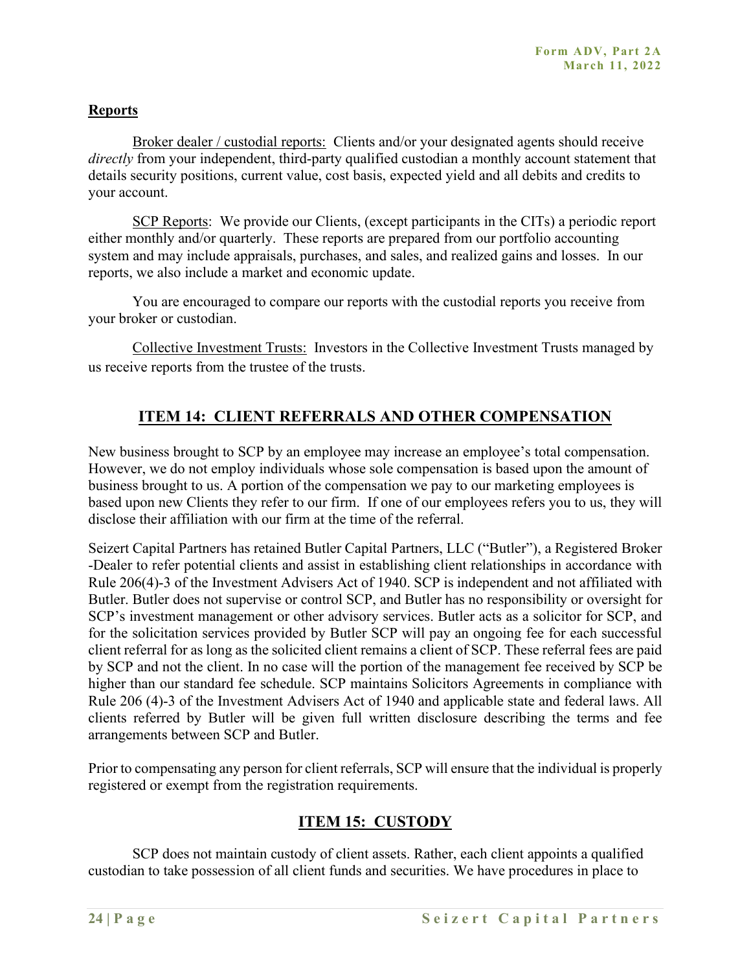#### **Reports**

Broker dealer / custodial reports: Clients and/or your designated agents should receive *directly* from your independent, third-party qualified custodian a monthly account statement that details security positions, current value, cost basis, expected yield and all debits and credits to your account.

SCP Reports: We provide our Clients, (except participants in the CITs) a periodic report either monthly and/or quarterly. These reports are prepared from our portfolio accounting system and may include appraisals, purchases, and sales, and realized gains and losses. In our reports, we also include a market and economic update.

You are encouraged to compare our reports with the custodial reports you receive from your broker or custodian.

Collective Investment Trusts: Investors in the Collective Investment Trusts managed by us receive reports from the trustee of the trusts.

## **ITEM 14: CLIENT REFERRALS AND OTHER COMPENSATION**

New business brought to SCP by an employee may increase an employee's total compensation. However, we do not employ individuals whose sole compensation is based upon the amount of business brought to us. A portion of the compensation we pay to our marketing employees is based upon new Clients they refer to our firm. If one of our employees refers you to us, they will disclose their affiliation with our firm at the time of the referral.

Seizert Capital Partners has retained Butler Capital Partners, LLC ("Butler"), a Registered Broker -Dealer to refer potential clients and assist in establishing client relationships in accordance with Rule 206(4)-3 of the Investment Advisers Act of 1940. SCP is independent and not affiliated with Butler. Butler does not supervise or control SCP, and Butler has no responsibility or oversight for SCP's investment management or other advisory services. Butler acts as a solicitor for SCP, and for the solicitation services provided by Butler SCP will pay an ongoing fee for each successful client referral for as long as the solicited client remains a client of SCP. These referral fees are paid by SCP and not the client. In no case will the portion of the management fee received by SCP be higher than our standard fee schedule. SCP maintains Solicitors Agreements in compliance with Rule 206 (4)-3 of the Investment Advisers Act of 1940 and applicable state and federal laws. All clients referred by Butler will be given full written disclosure describing the terms and fee arrangements between SCP and Butler.

Prior to compensating any person for client referrals, SCP will ensure that the individual is properly registered or exempt from the registration requirements.

## **ITEM 15: CUSTODY**

SCP does not maintain custody of client assets. Rather, each client appoints a qualified custodian to take possession of all client funds and securities. We have procedures in place to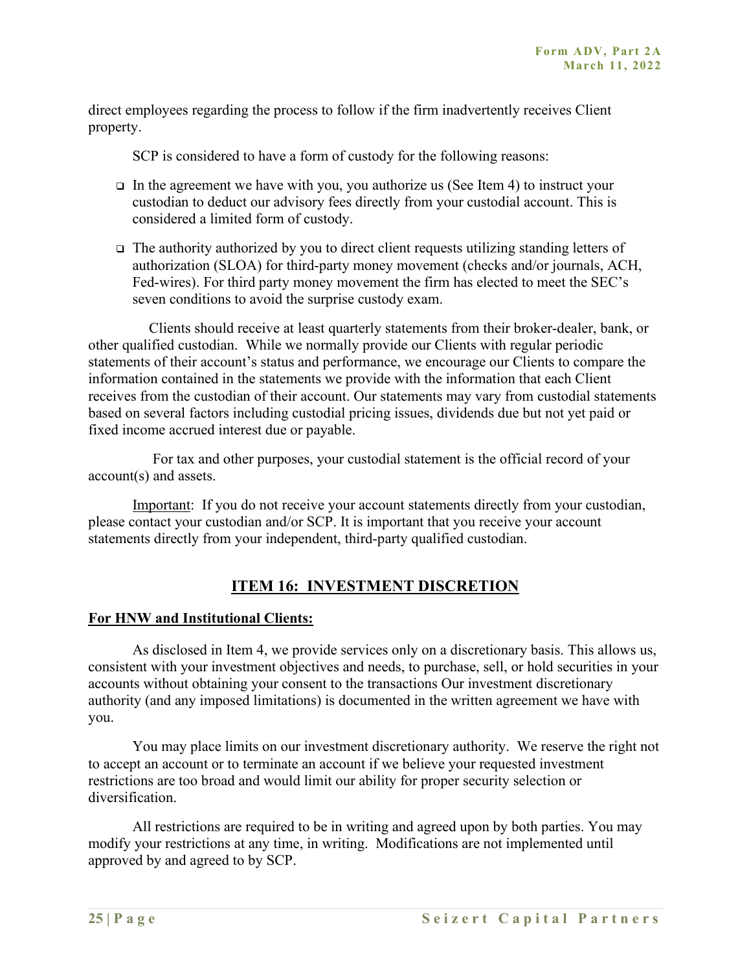direct employees regarding the process to follow if the firm inadvertently receives Client property.

SCP is considered to have a form of custody for the following reasons:

- $\Box$  In the agreement we have with you, you authorize us (See Item 4) to instruct your custodian to deduct our advisory fees directly from your custodial account. This is considered a limited form of custody.
- The authority authorized by you to direct client requests utilizing standing letters of authorization (SLOA) for third-party money movement (checks and/or journals, ACH, Fed-wires). For third party money movement the firm has elected to meet the SEC's seven conditions to avoid the surprise custody exam.

Clients should receive at least quarterly statements from their broker-dealer, bank, or other qualified custodian. While we normally provide our Clients with regular periodic statements of their account's status and performance, we encourage our Clients to compare the information contained in the statements we provide with the information that each Client receives from the custodian of their account. Our statements may vary from custodial statements based on several factors including custodial pricing issues, dividends due but not yet paid or fixed income accrued interest due or payable.

For tax and other purposes, your custodial statement is the official record of your account(s) and assets.

Important: If you do not receive your account statements directly from your custodian, please contact your custodian and/or SCP. It is important that you receive your account statements directly from your independent, third-party qualified custodian.

## **ITEM 16: INVESTMENT DISCRETION**

#### **For HNW and Institutional Clients:**

As disclosed in Item 4, we provide services only on a discretionary basis. This allows us, consistent with your investment objectives and needs, to purchase, sell, or hold securities in your accounts without obtaining your consent to the transactions Our investment discretionary authority (and any imposed limitations) is documented in the written agreement we have with you.

You may place limits on our investment discretionary authority. We reserve the right not to accept an account or to terminate an account if we believe your requested investment restrictions are too broad and would limit our ability for proper security selection or diversification.

All restrictions are required to be in writing and agreed upon by both parties. You may modify your restrictions at any time, in writing. Modifications are not implemented until approved by and agreed to by SCP.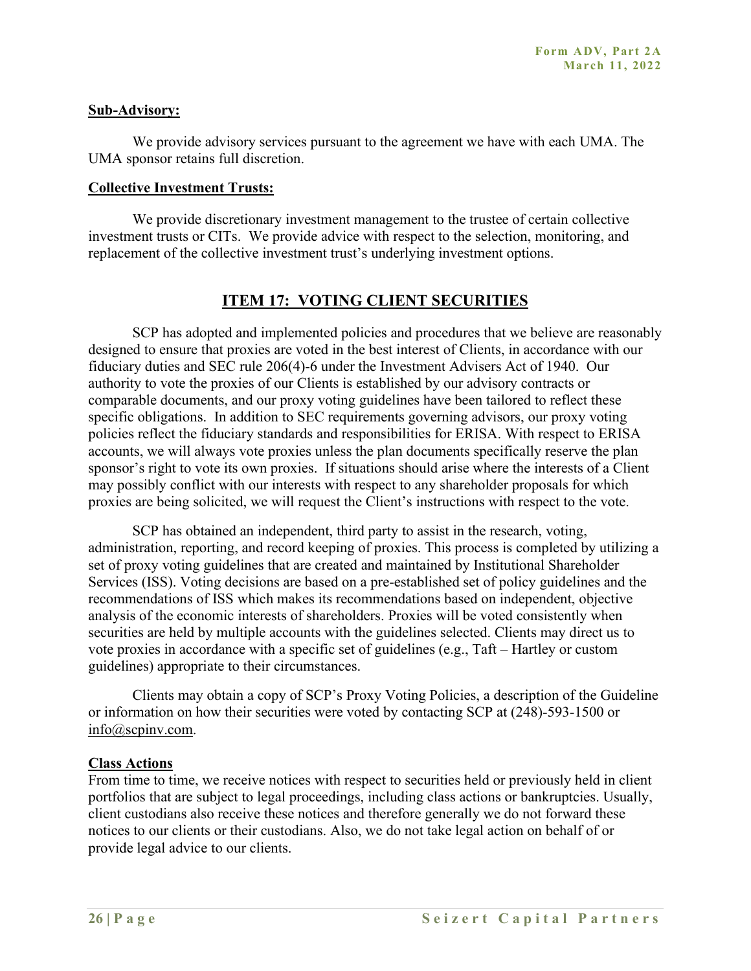#### **Sub-Advisory:**

We provide advisory services pursuant to the agreement we have with each UMA. The UMA sponsor retains full discretion.

#### **Collective Investment Trusts:**

We provide discretionary investment management to the trustee of certain collective investment trusts or CITs. We provide advice with respect to the selection, monitoring, and replacement of the collective investment trust's underlying investment options.

## **ITEM 17: VOTING CLIENT SECURITIES**

SCP has adopted and implemented policies and procedures that we believe are reasonably designed to ensure that proxies are voted in the best interest of Clients, in accordance with our fiduciary duties and SEC rule 206(4)-6 under the Investment Advisers Act of 1940. Our authority to vote the proxies of our Clients is established by our advisory contracts or comparable documents, and our proxy voting guidelines have been tailored to reflect these specific obligations. In addition to SEC requirements governing advisors, our proxy voting policies reflect the fiduciary standards and responsibilities for ERISA. With respect to ERISA accounts, we will always vote proxies unless the plan documents specifically reserve the plan sponsor's right to vote its own proxies. If situations should arise where the interests of a Client may possibly conflict with our interests with respect to any shareholder proposals for which proxies are being solicited, we will request the Client's instructions with respect to the vote.

SCP has obtained an independent, third party to assist in the research, voting, administration, reporting, and record keeping of proxies. This process is completed by utilizing a set of proxy voting guidelines that are created and maintained by Institutional Shareholder Services (ISS). Voting decisions are based on a pre-established set of policy guidelines and the recommendations of ISS which makes its recommendations based on independent, objective analysis of the economic interests of shareholders. Proxies will be voted consistently when securities are held by multiple accounts with the guidelines selected. Clients may direct us to vote proxies in accordance with a specific set of guidelines (e.g., Taft – Hartley or custom guidelines) appropriate to their circumstances.

Clients may obtain a copy of SCP's Proxy Voting Policies, a description of the Guideline or information on how their securities were voted by contacting SCP at (248)-593-1500 or info@scpinv.com.

#### **Class Actions**

From time to time, we receive notices with respect to securities held or previously held in client portfolios that are subject to legal proceedings, including class actions or bankruptcies. Usually, client custodians also receive these notices and therefore generally we do not forward these notices to our clients or their custodians. Also, we do not take legal action on behalf of or provide legal advice to our clients.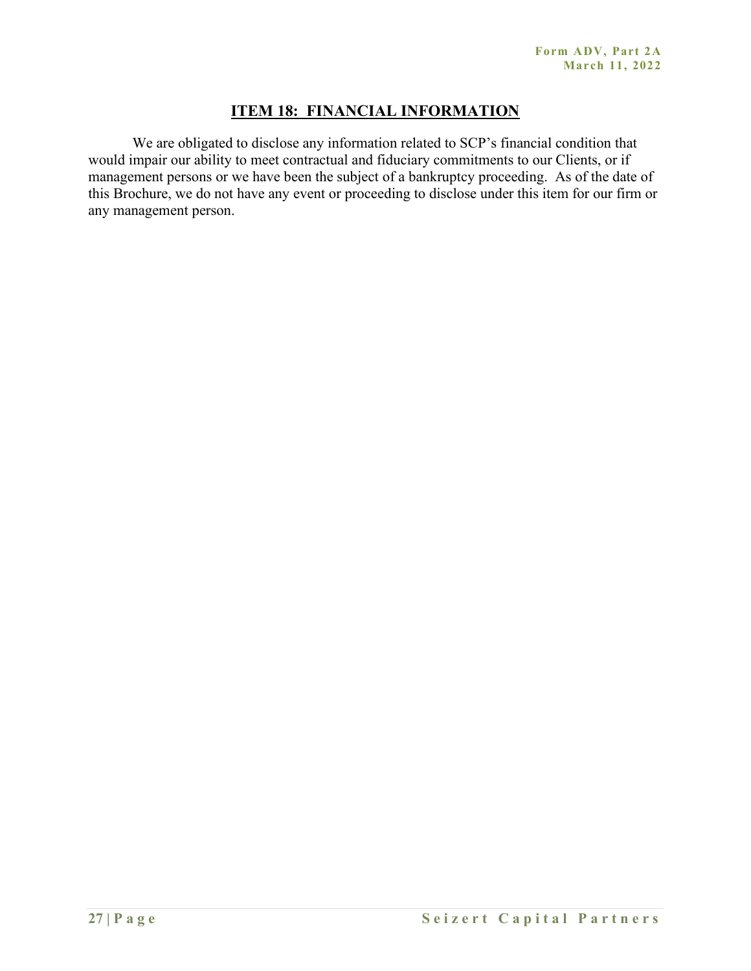## **ITEM 18: FINANCIAL INFORMATION**

We are obligated to disclose any information related to SCP's financial condition that would impair our ability to meet contractual and fiduciary commitments to our Clients, or if management persons or we have been the subject of a bankruptcy proceeding. As of the date of this Brochure, we do not have any event or proceeding to disclose under this item for our firm or any management person.